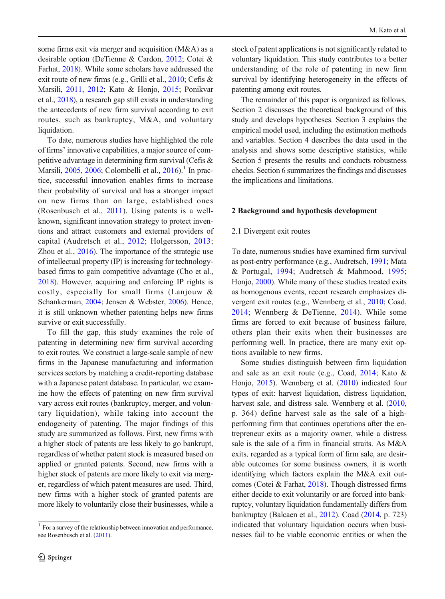some firms exit via merger and acquisition (M&A) as a desirable option (DeTienne & Cardon, [2012;](#page-24-0) Cotei & Farhat, [2018](#page-24-0)). While some scholars have addressed the exit route of new firms (e.g., Grilli et al., [2010](#page-24-0); Cefis & Marsili, [2011](#page-23-0), [2012](#page-23-0); Kato & Honjo, [2015](#page-25-0); Ponikvar et al., [2018\)](#page-26-0), a research gap still exists in understanding the antecedents of new firm survival according to exit routes, such as bankruptcy, M&A, and voluntary liquidation.

To date, numerous studies have highlighted the role of firms' innovative capabilities, a major source of competitive advantage in determining firm survival (Cefis & Marsili, [2005](#page-23-0), [2006](#page-23-0); Colombelli et al., [2016\)](#page-24-0).<sup>1</sup> In practice, successful innovation enables firms to increase their probability of survival and has a stronger impact on new firms than on large, established ones (Rosenbusch et al., [2011](#page-26-0)). Using patents is a wellknown, significant innovation strategy to protect inventions and attract customers and external providers of capital (Audretsch et al., [2012;](#page-23-0) Holgersson, [2013](#page-25-0); Zhou et al., [2016\)](#page-26-0). The importance of the strategic use of intellectual property (IP) is increasing for technologybased firms to gain competitive advantage (Cho et al., [2018](#page-23-0)). However, acquiring and enforcing IP rights is costly, especially for small firms (Lanjouw & Schankerman, [2004](#page-25-0); Jensen & Webster, [2006](#page-25-0)). Hence, it is still unknown whether patenting helps new firms survive or exit successfully.

To fill the gap, this study examines the role of patenting in determining new firm survival according to exit routes. We construct a large-scale sample of new firms in the Japanese manufacturing and information services sectors by matching a credit-reporting database with a Japanese patent database. In particular, we examine how the effects of patenting on new firm survival vary across exit routes (bankruptcy, merger, and voluntary liquidation), while taking into account the endogeneity of patenting. The major findings of this study are summarized as follows. First, new firms with a higher stock of patents are less likely to go bankrupt, regardless of whether patent stock is measured based on applied or granted patents. Second, new firms with a higher stock of patents are more likely to exit via merger, regardless of which patent measures are used. Third, new firms with a higher stock of granted patents are more likely to voluntarily close their businesses, while a

stock of patent applications is not significantly related to voluntary liquidation. This study contributes to a better understanding of the role of patenting in new firm survival by identifying heterogeneity in the effects of patenting among exit routes.

The remainder of this paper is organized as follows. Section 2 discusses the theoretical background of this study and develops hypotheses. Section 3 explains the empirical model used, including the estimation methods and variables. Section 4 describes the data used in the analysis and shows some descriptive statistics, while Section 5 presents the results and conducts robustness checks. Section 6 summarizes the findings and discusses the implications and limitations.

# 2 Background and hypothesis development

# 2.1 Divergent exit routes

To date, numerous studies have examined firm survival as post-entry performance (e.g., Audretsch, [1991](#page-23-0); Mata & Portugal, [1994](#page-25-0); Audretsch & Mahmood, [1995;](#page-23-0) Honjo, [2000\)](#page-25-0). While many of these studies treated exits as homogenous events, recent research emphasizes divergent exit routes (e.g., Wennberg et al., [2010;](#page-26-0) Coad, [2014](#page-23-0); Wennberg & DeTienne, [2014](#page-26-0)). While some firms are forced to exit because of business failure, others plan their exits when their businesses are performing well. In practice, there are many exit options available to new firms.

Some studies distinguish between firm liquidation and sale as an exit route (e.g., Coad, [2014;](#page-23-0) Kato & Honjo, [2015\)](#page-25-0). Wennberg et al. ([2010](#page-26-0)) indicated four types of exit: harvest liquidation, distress liquidation, harvest sale, and distress sale. Wennberg et al. [\(2010,](#page-26-0) p. 364) define harvest sale as the sale of a highperforming firm that continues operations after the entrepreneur exits as a majority owner, while a distress sale is the sale of a firm in financial straits. As M&A exits, regarded as a typical form of firm sale, are desirable outcomes for some business owners, it is worth identifying which factors explain the M&A exit outcomes (Cotei & Farhat, [2018](#page-24-0)). Though distressed firms either decide to exit voluntarily or are forced into bankruptcy, voluntary liquidation fundamentally differs from bankruptcy (Balcaen et al., [2012](#page-23-0)). Coad [\(2014,](#page-23-0) p. 723) indicated that voluntary liquidation occurs when businesses fail to be viable economic entities or when the

<sup>&</sup>lt;sup>1</sup> For a survey of the relationship between innovation and performance, see Rosenbusch et al. ([2011](#page-26-0)).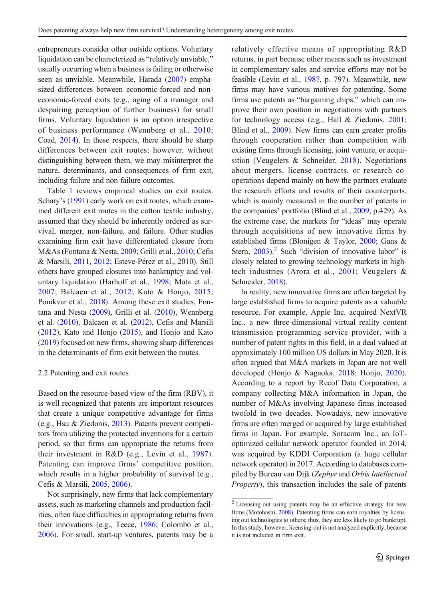entrepreneurs consider other outside options. Voluntary liquidation can be characterized as "relatively unviable," usually occurring when a business is failing or otherwise seen as unviable. Meanwhile, Harada [\(2007\)](#page-24-0) emphasized differences between economic-forced and noneconomic-forced exits (e.g., aging of a manager and despairing perception of further business) for small firms. Voluntary liquidation is an option irrespective of business performance (Wennberg et al., [2010](#page-26-0); Coad, [2014](#page-23-0)). In these respects, there should be sharp differences between exit routes; however, without distinguishing between them, we may misinterpret the nature, determinants, and consequences of firm exit, including failure and non-failure outcomes.

Table [1](#page-3-0) reviews empirical studies on exit routes. Schary's [\(1991\)](#page-26-0) early work on exit routes, which examined different exit routes in the cotton textile industry, assumed that they should be inherently ordered as survival, merger, non-failure, and failure. Other studies examining firm exit have differentiated closure from M&As (Fontana & Nesta, [2009;](#page-24-0) Grilli et al., [2010](#page-24-0); Cefis & Marsili, [2011,](#page-23-0) [2012;](#page-23-0) Esteve-Pérez et al., 2010). Still others have grouped closures into bankruptcy and voluntary liquidation (Harhoff et al., [1998;](#page-24-0) Mata et al., [2007](#page-25-0); Balcaen et al., [2012;](#page-23-0) Kato & Honjo, [2015](#page-25-0); Ponikvar et al., [2018](#page-26-0)). Among these exit studies, Fontana and Nesta [\(2009\)](#page-24-0), Grilli et al. ([2010](#page-24-0)), Wennberg et al. [\(2010](#page-26-0)), Balcaen et al. ([2012](#page-23-0)), Cefis and Marsili ([2012](#page-23-0)), Kato and Honjo ([2015](#page-25-0)), and Honjo and Kato ([2019](#page-25-0)) focused on new firms, showing sharp differences in the determinants of firm exit between the routes.

#### 2.2 Patenting and exit routes

Based on the resource-based view of the firm (RBV), it is well recognized that patents are important resources that create a unique competitive advantage for firms (e.g., Hsu & Ziedonis, [2013\)](#page-25-0). Patents prevent competitors from utilizing the protected inventions for a certain period, so that firms can appropriate the returns from their investment in R&D (e.g., Levin et al., [1987](#page-25-0)). Patenting can improve firms' competitive position, which results in a higher probability of survival (e.g., Cefis & Marsili, [2005](#page-23-0), [2006](#page-23-0)).

Not surprisingly, new firms that lack complementary assets, such as marketing channels and production facilities, often face difficulties in appropriating returns from their innovations (e.g., Teece, [1986;](#page-26-0) Colombo et al., [2006](#page-24-0)). For small, start-up ventures, patents may be a relatively effective means of appropriating R&D returns, in part because other means such as investment in complementary sales and service efforts may not be feasible (Levin et al., [1987](#page-25-0), p. 797). Meanwhile, new firms may have various motives for patenting. Some firms use patents as "bargaining chips," which can improve their own position in negotiations with partners for technology access (e.g., Hall & Ziedonis, [2001;](#page-24-0) Blind et al., [2009\)](#page-23-0). New firms can earn greater profits through cooperation rather than competition with existing firms through licensing, joint venture, or acquisition (Veugelers & Schneider, [2018\)](#page-26-0). Negotiations about mergers, license contracts, or research cooperations depend mainly on how the partners evaluate the research efforts and results of their counterparts, which is mainly measured in the number of patents in the companies' portfolio (Blind et al., [2009](#page-23-0), p.429). As the extreme case, the markets for "ideas" may operate through acquisitions of new innovative firms by established firms (Blonigen & Taylor, [2000;](#page-23-0) Gans & Stern,  $2003$ ).<sup>2</sup> Such "division of innovative labor" is closely related to growing technology markets in hightech industries (Arora et al., [2001](#page-23-0); Veugelers & Schneider, [2018](#page-26-0)).

In reality, new innovative firms are often targeted by large established firms to acquire patents as a valuable resource. For example, Apple Inc. acquired NextVR Inc., a new three-dimensional virtual reality content transmission programming service provider, with a number of patent rights in this field, in a deal valued at approximately 100 million US dollars in May 2020. It is often argued that M&A markets in Japan are not well developed (Honjo & Nagaoka, [2018](#page-25-0); Honjo, [2020\)](#page-25-0). According to a report by Recof Data Corporation, a company collecting M&A information in Japan, the number of M&As involving Japanese firms increased twofold in two decades. Nowadays, new innovative firms are often merged or acquired by large established firms in Japan. For example, Soracom Inc., an IoToptimized cellular network operator founded in 2014, was acquired by KDDI Corporation (a huge cellular network operator) in 2017. According to databases compiled by Bureau van Dijk (Zephyr and Orbis Intellectual Property), this transaction includes the sale of patents

 $2$  Licensing-out using patents may be an effective strategy for new firms (Motohashi, [2008\)](#page-25-0). Patenting firms can earn royalties by licensing out technologies to others; thus, they are less likely to go bankrupt. In this study, however, licensing-out is not analyzed explicitly, because it is not included in firm exit.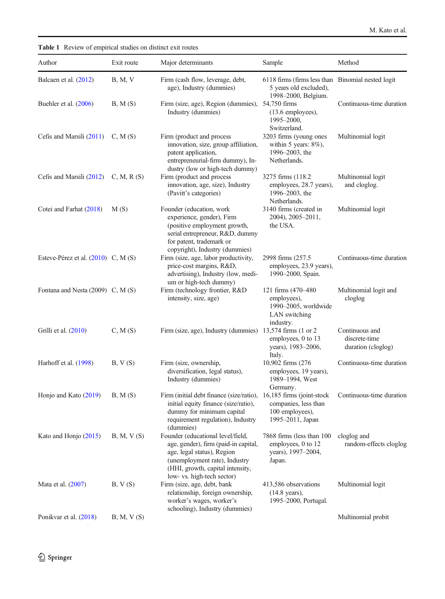<span id="page-3-0"></span>Table 1 Review of empirical studies on distinct exit routes

| Author                                  | Exit route | Major determinants                                                                                                                                                                                         | Sample                                                                                             | Method                                                |
|-----------------------------------------|------------|------------------------------------------------------------------------------------------------------------------------------------------------------------------------------------------------------------|----------------------------------------------------------------------------------------------------|-------------------------------------------------------|
| Balcaen et al. (2012)                   | B, M, V    | Firm (cash flow, leverage, debt,<br>age), Industry (dummies)                                                                                                                                               | 6118 firms (firms less than Binomial nested logit<br>5 years old excluded),<br>1998-2000, Belgium. |                                                       |
| Buehler et al. (2006)                   | B, M(S)    | Firm (size, age), Region (dummies),<br>Industry (dummies)                                                                                                                                                  | 54,750 firms<br>(13.6 employees),<br>1995-2000,<br>Switzerland.                                    | Continuous-time duration                              |
| Cefis and Marsili (2011)                | C, M(S)    | Firm (product and process<br>innovation, size, group affiliation,<br>patent application,<br>entrepreneurial-firm dummy), In-<br>dustry (low or high-tech dummy)                                            | 3203 firms (young ones<br>within 5 years: $8\%$ ),<br>1996–2003, the<br>Netherlands.               | Multinomial logit                                     |
| Cefis and Marsili (2012)                | C, M, R(S) | Firm (product and process<br>innovation, age, size), Industry<br>(Pavitt's categories)                                                                                                                     | 3275 firms (118.2)<br>employees, 28.7 years),<br>1996–2003, the<br>Netherlands.                    | Multinomial logit<br>and cloglog.                     |
| Cotei and Farhat (2018)                 | M(S)       | Founder (education, work<br>experience, gender), Firm<br>(positive employment growth,<br>serial entrepreneur, R&D, dummy<br>for patent, trademark or<br>copyright), Industry (dummies)                     | 3140 firms (created in<br>2004), 2005-2011,<br>the USA.                                            | Multinomial logit                                     |
| Esteve-Pérez et al. $(2010)$ C, M $(S)$ |            | Firm (size, age, labor productivity,<br>price-cost margins, R&D,<br>advertising), Industry (low, medi-<br>um or high-tech dummy)                                                                           | 2998 firms (257.5)<br>employees, 23.9 years),<br>1990-2000, Spain.                                 | Continuous-time duration                              |
| Fontana and Nesta $(2009)$ C, M $(S)$   |            | Firm (technology frontier, R&D<br>intensity, size, age)                                                                                                                                                    | 121 firms (470-480)<br>employees),<br>1990-2005, worldwide<br>LAN switching<br>industry.           | Multinomial logit and<br>cloglog                      |
| Grilli et al. (2010)                    | C, M(S)    | Firm (size, age), Industry (dummies) 13,574 firms (1 or 2                                                                                                                                                  | employees, 0 to 13<br>years), 1983-2006,<br>Italy.                                                 | Continuous and<br>discrete-time<br>duration (cloglog) |
| Harhoff et al. (1998)                   | B, V(S)    | Firm (size, ownership,<br>diversification, legal status),<br>Industry (dummies)                                                                                                                            | 10,902 firms (276)<br>employees, 19 years),<br>1989-1994, West<br>Germany.                         | Continuous-time duration                              |
| Honjo and Kato (2019)                   | B, M(S)    | Firm (initial debt finance (size/ratio), 16,185 firms (joint-stock<br>initial equity finance (size/ratio),<br>dummy for minimum capital<br>requirement regulation), Industry<br>(dummies)                  | companies, less than<br>100 employees).<br>1995-2011, Japan                                        | Continuous-time duration                              |
| Kato and Honjo (2015)                   | B, M, V(S) | Founder (educational level/field,<br>age, gender), firm (paid-in capital,<br>age, legal status), Region<br>(unemployment rate), Industry<br>(HHI, growth, capital intensity,<br>low- vs. high-tech sector) | 7868 firms (less than 100)<br>employees, 0 to 12<br>years), 1997-2004,<br>Japan.                   | cloglog and<br>random-effects cloglog                 |
| Mata et al. (2007)                      | B, V(S)    | Firm (size, age, debt, bank<br>relationship, foreign ownership,<br>worker's wages, worker's<br>schooling), Industry (dummies)                                                                              | 413,586 observations<br>$(14.8 \text{ years})$ ,<br>1995-2000, Portugal.                           | Multinomial logit                                     |
| Ponikvar et al. (2018)                  | B, M, V(S) |                                                                                                                                                                                                            |                                                                                                    | Multinomial probit                                    |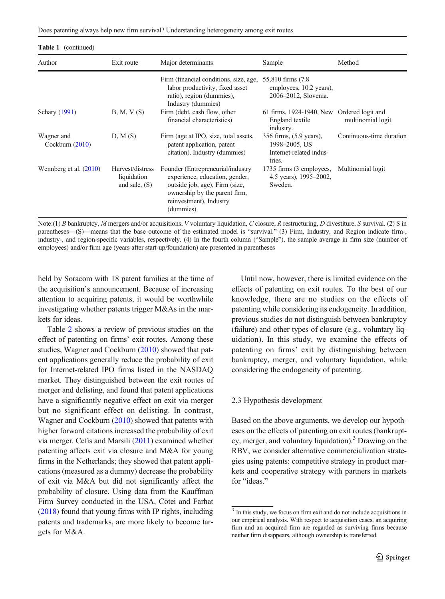Does patenting always help new firm survival? Understanding heterogeneity among exit routes

| <b>Table 1</b> (continued)      |                                                    |                                                                                                                                                                                |                                                                               |                          |
|---------------------------------|----------------------------------------------------|--------------------------------------------------------------------------------------------------------------------------------------------------------------------------------|-------------------------------------------------------------------------------|--------------------------|
| Author                          | Exit route                                         | Major determinants                                                                                                                                                             | Sample                                                                        | Method                   |
|                                 |                                                    | Firm (financial conditions, size, age,<br>labor productivity, fixed asset<br>ratio), region (dummies),<br>Industry (dummies)                                                   | 55,810 firms (7.8)<br>employees, 10.2 years),<br>2006-2012, Slovenia.         |                          |
| Schary (1991)                   | B, M, V(S)                                         | Firm (debt, cash flow, other<br>financial characteristics)                                                                                                                     | 61 firms, 1924-1940, New Ordered logit and<br>England textile<br>industry.    | multinomial logit        |
| Wagner and<br>Cockburn $(2010)$ | D, M(S)                                            | Firm (age at IPO, size, total assets,<br>patent application, patent<br>citation), Industry (dummies)                                                                           | 356 firms, (5.9 years),<br>1998–2005, US<br>Internet-related indus-<br>tries. | Continuous-time duration |
| Wennberg et al. $(2010)$        | Harvest/distress<br>liquidation<br>and sale, $(S)$ | Founder (Entrepreneurial/industry<br>experience, education, gender,<br>outside job, age), Firm (size,<br>ownership by the parent firm,<br>reinvestment), Industry<br>(dummies) | 1735 firms (3 employees,<br>4.5 years), 1995–2002,<br>Sweden.                 | Multinomial logit        |

Note:(1) B bankruptcy, M mergers and/or acquisitions, V voluntary liquidation, C closure, R restructuring, D divestiture, S survival. (2) S in parentheses—(S)—means that the base outcome of the estimated model is "survival." (3) Firm, Industry, and Region indicate firm-, industry-, and region-specific variables, respectively. (4) In the fourth column ("Sample"), the sample average in firm size (number of employees) and/or firm age (years after start-up/foundation) are presented in parentheses

held by Soracom with 18 patent families at the time of the acquisition's announcement. Because of increasing attention to acquiring patents, it would be worthwhile investigating whether patents trigger M&As in the markets for ideas.

Table [2](#page-5-0) shows a review of previous studies on the effect of patenting on firms' exit routes. Among these studies, Wagner and Cockburn ([2010](#page-26-0)) showed that patent applications generally reduce the probability of exit for Internet-related IPO firms listed in the NASDAQ market. They distinguished between the exit routes of merger and delisting, and found that patent applications have a significantly negative effect on exit via merger but no significant effect on delisting. In contrast, Wagner and Cockburn ([2010](#page-26-0)) showed that patents with higher forward citations increased the probability of exit via merger. Cefis and Marsili ([2011](#page-23-0)) examined whether patenting affects exit via closure and M&A for young firms in the Netherlands; they showed that patent applications (measured as a dummy) decrease the probability of exit via M&A but did not significantly affect the probability of closure. Using data from the Kauffman Firm Survey conducted in the USA, Cotei and Farhat ([2018](#page-24-0)) found that young firms with IP rights, including patents and trademarks, are more likely to become targets for M&A.

Until now, however, there is limited evidence on the effects of patenting on exit routes. To the best of our knowledge, there are no studies on the effects of patenting while considering its endogeneity. In addition, previous studies do not distinguish between bankruptcy (failure) and other types of closure (e.g., voluntary liquidation). In this study, we examine the effects of patenting on firms' exit by distinguishing between bankruptcy, merger, and voluntary liquidation, while considering the endogeneity of patenting.

## 2.3 Hypothesis development

Based on the above arguments, we develop our hypotheses on the effects of patenting on exit routes (bankruptcy, merger, and voluntary liquidation).<sup>3</sup> Drawing on the RBV, we consider alternative commercialization strategies using patents: competitive strategy in product markets and cooperative strategy with partners in markets for "ideas."

<sup>3</sup> In this study, we focus on firm exit and do not include acquisitions in our empirical analysis. With respect to acquisition cases, an acquiring firm and an acquired firm are regarded as surviving firms because neither firm disappears, although ownership is transferred.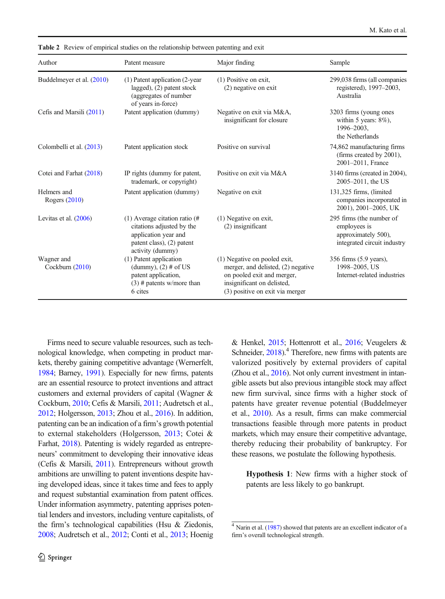| Author                         | Patent measure                                                                                                                          | Major finding                                                                                                                                                     | Sample                                                                                         |
|--------------------------------|-----------------------------------------------------------------------------------------------------------------------------------------|-------------------------------------------------------------------------------------------------------------------------------------------------------------------|------------------------------------------------------------------------------------------------|
| Buddelmeyer et al. (2010)      | $(1)$ Patent application $(2$ -year<br>lagged), $(2)$ patent stock<br>(aggregates of number<br>of years in-force)                       | $(1)$ Positive on exit,<br>$(2)$ negative on exit                                                                                                                 | 299,038 firms (all companies<br>registered), 1997–2003,<br>Australia                           |
| Cefis and Marsili (2011)       | Patent application (dummy)                                                                                                              | Negative on exit via M&A,<br>insignificant for closure                                                                                                            | 3203 firms (young ones<br>within 5 years: $8\%$ ),<br>1996-2003.<br>the Netherlands            |
| Colombelli et al. (2013)       | Patent application stock                                                                                                                | Positive on survival                                                                                                                                              | 74,862 manufacturing firms<br>(firms created by 2001),<br>2001-2011. France                    |
| Cotei and Farhat (2018)        | IP rights (dummy for patent,<br>trademark, or copyright)                                                                                | Positive on exit via M&A                                                                                                                                          | 3140 firms (created in 2004),<br>2005-2011, the US                                             |
| Helmers and<br>Rogers $(2010)$ | Patent application (dummy)                                                                                                              | Negative on exit                                                                                                                                                  | 131,325 firms, (limited<br>companies incorporated in<br>2001), 2001-2005, UK                   |
| Levitas et al. $(2006)$        | $(1)$ Average citation ratio $(#$<br>citations adjusted by the<br>application year and<br>patent class), (2) patent<br>activity (dummy) | $(1)$ Negative on exit,<br>(2) insignificant                                                                                                                      | 295 firms (the number of<br>employees is<br>approximately 500),<br>integrated circuit industry |
| Wagner and<br>Cockburn (2010)  | (1) Patent application<br>(dummy), $(2)$ # of US<br>patent application,<br>$(3)$ # patents w/more than<br>6 cites                       | (1) Negative on pooled exit,<br>merger, and delisted, (2) negative<br>on pooled exit and merger,<br>insignificant on delisted,<br>(3) positive on exit via merger | 356 firms (5.9 years),<br>1998-2005, US<br>Internet-related industries                         |

<span id="page-5-0"></span>Table 2 Review of empirical studies on the relationship between patenting and exit

Firms need to secure valuable resources, such as technological knowledge, when competing in product markets, thereby gaining competitive advantage (Wernerfelt, [1984;](#page-26-0) Barney, [1991](#page-23-0)). Especially for new firms, patents are an essential resource to protect inventions and attract customers and external providers of capital (Wagner & Cockburn, [2010](#page-26-0); Cefis & Marsili, [2011;](#page-23-0) Audretsch et al., [2012;](#page-23-0) Holgersson, [2013;](#page-25-0) Zhou et al., [2016\)](#page-26-0). In addition, patenting can be an indication of a firm's growth potential to external stakeholders (Holgersson, [2013](#page-25-0); Cotei & Farhat, [2018](#page-24-0)). Patenting is widely regarded as entrepreneurs' commitment to developing their innovative ideas (Cefis & Marsili, [2011\)](#page-23-0). Entrepreneurs without growth ambitions are unwilling to patent inventions despite having developed ideas, since it takes time and fees to apply and request substantial examination from patent offices. Under information asymmetry, patenting apprises potential lenders and investors, including venture capitalists, of the firm's technological capabilities (Hsu & Ziedonis, [2008;](#page-25-0) Audretsch et al., [2012](#page-23-0); Conti et al., [2013;](#page-24-0) Hoenig & Henkel, [2015](#page-24-0); Hottenrott et al., [2016;](#page-25-0) Veugelers & Schneider,  $2018$ ).<sup>4</sup> Therefore, new firms with patents are valorized positively by external providers of capital (Zhou et al., [2016](#page-26-0)). Not only current investment in intangible assets but also previous intangible stock may affect new firm survival, since firms with a higher stock of patents have greater revenue potential (Buddelmeyer et al., [2010](#page-23-0)). As a result, firms can make commercial transactions feasible through more patents in product markets, which may ensure their competitive advantage, thereby reducing their probability of bankruptcy. For these reasons, we postulate the following hypothesis.

Hypothesis 1: New firms with a higher stock of patents are less likely to go bankrupt.

<sup>&</sup>lt;sup>4</sup> Narin et al. [\(1987\)](#page-25-0) showed that patents are an excellent indicator of a firm's overall technological strength.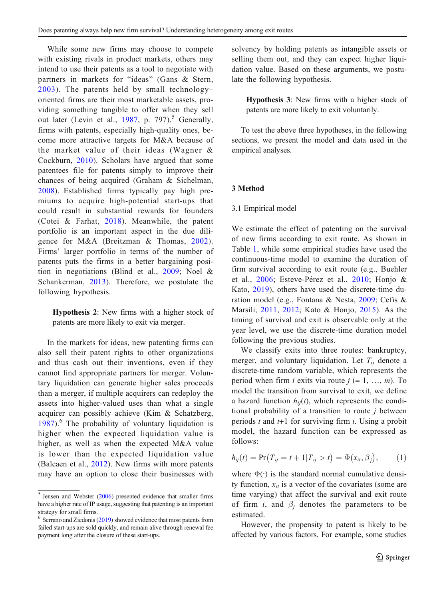While some new firms may choose to compete with existing rivals in product markets, others may intend to use their patents as a tool to negotiate with partners in markets for "ideas" (Gans & Stern, [2003\)](#page-24-0). The patents held by small technology– oriented firms are their most marketable assets, providing something tangible to offer when they sell out later (Levin et al., [1987,](#page-25-0) p. 797).<sup>5</sup> Generally, firms with patents, especially high-quality ones, become more attractive targets for M&A because of the market value of their ideas (Wagner & Cockburn, [2010\)](#page-26-0). Scholars have argued that some patentees file for patents simply to improve their chances of being acquired (Graham & Sichelman, [2008](#page-24-0)). Established firms typically pay high premiums to acquire high-potential start-ups that could result in substantial rewards for founders (Cotei & Farhat, [2018\)](#page-24-0). Meanwhile, the patent portfolio is an important aspect in the due diligence for M&A (Breitzman & Thomas, [2002](#page-23-0)). Firms' larger portfolio in terms of the number of patents puts the firms in a better bargaining position in negotiations (Blind et al., [2009;](#page-23-0) Noel & Schankerman, [2013](#page-25-0)). Therefore, we postulate the following hypothesis.

Hypothesis 2: New firms with a higher stock of patents are more likely to exit via merger.

In the markets for ideas, new patenting firms can also sell their patent rights to other organizations and thus cash out their inventions, even if they cannot find appropriate partners for merger. Voluntary liquidation can generate higher sales proceeds than a merger, if multiple acquirers can redeploy the assets into higher-valued uses than what a single acquirer can possibly achieve (Kim & Schatzberg,  $1987$ <sup>6</sup>. The probability of voluntary liquidation is higher when the expected liquidation value is higher, as well as when the expected M&A value is lower than the expected liquidation value (Balcaen et al., [2012](#page-23-0)). New firms with more patents may have an option to close their businesses with solvency by holding patents as intangible assets or selling them out, and they can expect higher liquidation value. Based on these arguments, we postulate the following hypothesis.

Hypothesis 3: New firms with a higher stock of patents are more likely to exit voluntarily.

To test the above three hypotheses, in the following sections, we present the model and data used in the empirical analyses.

## 3 Method

#### 3.1 Empirical model

We estimate the effect of patenting on the survival of new firms according to exit route. As shown in Table [1](#page-3-0), while some empirical studies have used the continuous-time model to examine the duration of firm survival according to exit route (e.g., Buehler et al., [2006](#page-23-0); Esteve-Pérez et al., [2010;](#page-24-0) Honjo & Kato, [2019](#page-25-0)), others have used the discrete-time duration model (e.g., Fontana & Nesta, [2009;](#page-24-0) Cefis & Marsili, [2011](#page-23-0), [2012;](#page-23-0) Kato & Honjo, [2015\)](#page-25-0). As the timing of survival and exit is observable only at the year level, we use the discrete-time duration model following the previous studies.

We classify exits into three routes: bankruptcy, merger, and voluntary liquidation. Let  $T_{ii}$  denote a discrete-time random variable, which represents the period when firm *i* exits via route  $j (= 1, ..., m)$ . To model the transition from survival to exit, we define a hazard function  $h_{ii}(t)$ , which represents the conditional probability of a transition to route  $i$  between periods t and  $t+1$  for surviving firm i. Using a probit model, the hazard function can be expressed as follows:

$$
h_{ij}(t) = \Pr(T_{ij} = t + 1 | T_{ij} > t) = \Phi(x_{it}, \beta_j), \quad (1)
$$

where  $\Phi(\cdot)$  is the standard normal cumulative density function,  $x_{it}$  is a vector of the covariates (some are time varying) that affect the survival and exit route of firm i, and  $\beta_i$  denotes the parameters to be estimated.

However, the propensity to patent is likely to be affected by various factors. For example, some studies

 $5$  Jensen and Webster ([2006](#page-25-0)) presented evidence that smaller firms have a higher rate of IP usage, suggesting that patenting is an important strategy for small firms.

 $6$  Serrano and Ziedonis [\(2019\)](#page-26-0) showed evidence that most patents from failed start-ups are sold quickly, and remain alive through renewal fee payment long after the closure of these start-ups.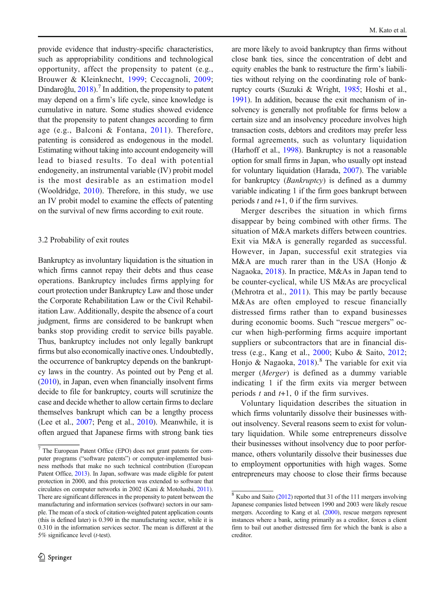provide evidence that industry-specific characteristics, such as appropriability conditions and technological opportunity, affect the propensity to patent (e.g., Brouwer & Kleinknecht, [1999;](#page-23-0) Ceccagnoli, [2009](#page-23-0); Dindaroğlu,  $2018$ ).<sup>7</sup> In addition, the propensity to patent may depend on a firm's life cycle, since knowledge is cumulative in nature. Some studies showed evidence that the propensity to patent changes according to firm age (e.g., Balconi & Fontana, [2011\)](#page-23-0). Therefore, patenting is considered as endogenous in the model. Estimating without taking into account endogeneity will lead to biased results. To deal with potential endogeneity, an instrumental variable (IV) probit model is the most desirable as an estimation model (Wooldridge, [2010](#page-26-0)). Therefore, in this study, we use an IV probit model to examine the effects of patenting on the survival of new firms according to exit route.

## 3.2 Probability of exit routes

Bankruptcy as involuntary liquidation is the situation in which firms cannot repay their debts and thus cease operations. Bankruptcy includes firms applying for court protection under Bankruptcy Law and those under the Corporate Rehabilitation Law or the Civil Rehabilitation Law. Additionally, despite the absence of a court judgment, firms are considered to be bankrupt when banks stop providing credit to service bills payable. Thus, bankruptcy includes not only legally bankrupt firms but also economically inactive ones. Undoubtedly, the occurrence of bankruptcy depends on the bankruptcy laws in the country. As pointed out by Peng et al. ([2010](#page-26-0)), in Japan, even when financially insolvent firms decide to file for bankruptcy, courts will scrutinize the case and decide whether to allow certain firms to declare themselves bankrupt which can be a lengthy process (Lee et al., [2007](#page-25-0); Peng et al., [2010](#page-26-0)). Meanwhile, it is often argued that Japanese firms with strong bank ties

are more likely to avoid bankruptcy than firms without close bank ties, since the concentration of debt and equity enables the bank to restructure the firm's liabilities without relying on the coordinating role of bankruptcy courts (Suzuki & Wright, [1985;](#page-26-0) Hoshi et al., [1991](#page-25-0)). In addition, because the exit mechanism of insolvency is generally not profitable for firms below a certain size and an insolvency procedure involves high transaction costs, debtors and creditors may prefer less formal agreements, such as voluntary liquidation (Harhoff et al., [1998](#page-24-0)). Bankruptcy is not a reasonable option for small firms in Japan, who usually opt instead for voluntary liquidation (Harada, [2007\)](#page-24-0). The variable for bankruptcy (Bankruptcy) is defined as a dummy variable indicating 1 if the firm goes bankrupt between periods  $t$  and  $t+1$ , 0 if the firm survives.

Merger describes the situation in which firms disappear by being combined with other firms. The situation of M&A markets differs between countries. Exit via M&A is generally regarded as successful. However, in Japan, successful exit strategies via M&A are much rarer than in the USA (Honjo & Nagaoka, [2018\)](#page-25-0). In practice, M&As in Japan tend to be counter-cyclical, while US M&As are procyclical (Mehrotra et al., [2011](#page-25-0)). This may be partly because M&As are often employed to rescue financially distressed firms rather than to expand businesses during economic booms. Such "rescue mergers" occur when high-performing firms acquire important suppliers or subcontractors that are in financial distress (e.g., Kang et al., [2000](#page-25-0); Kubo & Saito, [2012;](#page-25-0) Honjo & Nagaoka,  $2018$ .<sup>8</sup> The variable for exit via merger (Merger) is defined as a dummy variable indicating 1 if the firm exits via merger between periods  $t$  and  $t+1$ , 0 if the firm survives.

Voluntary liquidation describes the situation in which firms voluntarily dissolve their businesses without insolvency. Several reasons seem to exist for voluntary liquidation. While some entrepreneurs dissolve their businesses without insolvency due to poor performance, others voluntarily dissolve their businesses due to employment opportunities with high wages. Some entrepreneurs may choose to close their firms because

<sup>7</sup> The European Patent Office (EPO) does not grant patents for computer programs ("software patents") or computer-implemented business methods that make no such technical contribution (European Patent Office, [2013](#page-24-0)). In Japan, software was made eligible for patent protection in 2000, and this protection was extended to software that circulates on computer networks in 2002 (Kani & Motohashi, [2011\)](#page-25-0). There are significant differences in the propensity to patent between the manufacturing and information services (software) sectors in our sample. The mean of a stock of citation-weighted patent application counts (this is defined later) is 0.390 in the manufacturing sector, while it is 0.310 in the information services sector. The mean is different at the 5% significance level (t-test).

<sup>8</sup> Kubo and Saito [\(2012\)](#page-25-0) reported that 31 of the 111 mergers involving Japanese companies listed between 1990 and 2003 were likely rescue mergers. According to Kang et al. ([2000](#page-25-0)), rescue mergers represent instances where a bank, acting primarily as a creditor, forces a client firm to bail out another distressed firm for which the bank is also a creditor.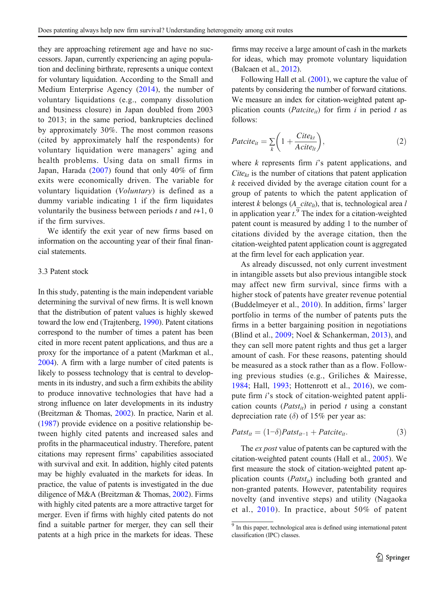they are approaching retirement age and have no successors. Japan, currently experiencing an aging population and declining birthrate, represents a unique context for voluntary liquidation. According to the Small and Medium Enterprise Agency ([2014](#page-26-0)), the number of voluntary liquidations (e.g., company dissolution and business closure) in Japan doubled from 2003 to 2013; in the same period, bankruptcies declined by approximately 30%. The most common reasons (cited by approximately half the respondents) for voluntary liquidation were managers' aging and health problems. Using data on small firms in Japan, Harada ([2007](#page-24-0)) found that only 40% of firm exits were economically driven. The variable for voluntary liquidation (Voluntary) is defined as a dummy variable indicating 1 if the firm liquidates voluntarily the business between periods  $t$  and  $t+1$ , 0 if the firm survives.

We identify the exit year of new firms based on information on the accounting year of their final financial statements.

## 3.3 Patent stock

In this study, patenting is the main independent variable determining the survival of new firms. It is well known that the distribution of patent values is highly skewed toward the low end (Trajtenberg, [1990](#page-26-0)). Patent citations correspond to the number of times a patent has been cited in more recent patent applications, and thus are a proxy for the importance of a patent (Markman et al., [2004](#page-25-0)). A firm with a large number of cited patents is likely to possess technology that is central to developments in its industry, and such a firm exhibits the ability to produce innovative technologies that have had a strong influence on later developments in its industry (Breitzman & Thomas, [2002](#page-23-0)). In practice, Narin et al. ([1987](#page-25-0)) provide evidence on a positive relationship between highly cited patents and increased sales and profits in the pharmaceutical industry. Therefore, patent citations may represent firms' capabilities associated with survival and exit. In addition, highly cited patents may be highly evaluated in the markets for ideas. In practice, the value of patents is investigated in the due diligence of M&A (Breitzman & Thomas, [2002\)](#page-23-0). Firms with highly cited patents are a more attractive target for merger. Even if firms with highly cited patents do not find a suitable partner for merger, they can sell their patents at a high price in the markets for ideas. These firms may receive a large amount of cash in the markets for ideas, which may promote voluntary liquidation (Balcaen et al., [2012](#page-23-0)).

Following Hall et al. [\(2001\)](#page-24-0), we capture the value of patents by considering the number of forward citations. We measure an index for citation-weighted patent application counts (*Patcite<sub>it</sub>*) for firm i in period t as follows:

$$
Paticite_{it} = \sum_{k} \left( 1 + \frac{Cite_{kt}}{Acite_{lt}} \right),\tag{2}
$$

where  $k$  represents firm  $i$ 's patent applications, and  $Cite_{kt}$  is the number of citations that patent application  $k$  received divided by the average citation count for a group of patents to which the patent application of interest k belongs (A  $cite<sub>th</sub>$ ), that is, technological area l in application year  $t$ .<sup>9</sup> The index for a citation-weighted patent count is measured by adding 1 to the number of citations divided by the average citation, then the citation-weighted patent application count is aggregated at the firm level for each application year.

As already discussed, not only current investment in intangible assets but also previous intangible stock may affect new firm survival, since firms with a higher stock of patents have greater revenue potential (Buddelmeyer et al., [2010](#page-23-0)). In addition, firms' larger portfolio in terms of the number of patents puts the firms in a better bargaining position in negotiations (Blind et al., [2009;](#page-23-0) Noel & Schankerman, [2013](#page-25-0)), and they can sell more patent rights and thus get a larger amount of cash. For these reasons, patenting should be measured as a stock rather than as a flow. Following previous studies (e.g., Griliches & Mairesse, [1984](#page-24-0); Hall, [1993;](#page-24-0) Hottenrott et al., [2016\)](#page-25-0), we compute firm i's stock of citation-weighted patent application counts ( $Patst_{it}$ ) in period t using a constant depreciation rate ( $\delta$ ) of 15% per year as:

$$
Patst_{it} = (1-\delta)Patst_{it-1} + Paticite_{it}.
$$
\n(3)

The *ex post* value of patents can be captured with the citation-weighted patent counts (Hall et al., [2005\)](#page-24-0). We first measure the stock of citation-weighted patent application counts  $(Patst_{it})$  including both granted and non-granted patents. However, patentability requires novelty (and inventive steps) and utility (Nagaoka et al., [2010](#page-25-0)). In practice, about 50% of patent

<sup>&</sup>lt;sup>9</sup> In this paper, technological area is defined using international patent classification (IPC) classes.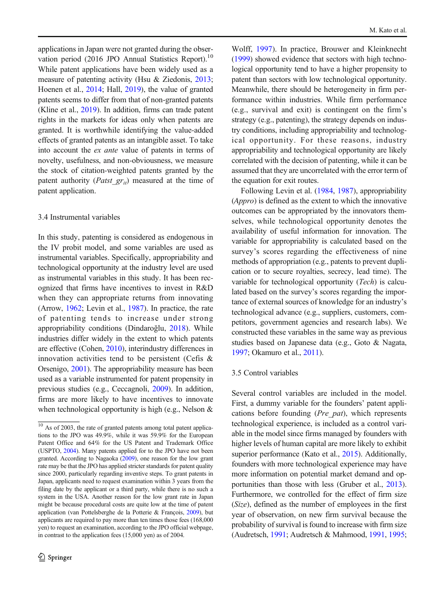applications in Japan were not granted during the observation period (2016 JPO Annual Statistics Report).<sup>10</sup> While patent applications have been widely used as a measure of patenting activity (Hsu & Ziedonis, [2013](#page-25-0); Hoenen et al., [2014](#page-24-0); Hall, [2019](#page-24-0)), the value of granted patents seems to differ from that of non-granted patents (Kline et al., [2019](#page-25-0)). In addition, firms can trade patent rights in the markets for ideas only when patents are granted. It is worthwhile identifying the value-added effects of granted patents as an intangible asset. To take into account the ex ante value of patents in terms of novelty, usefulness, and non-obviousness, we measure the stock of citation-weighted patents granted by the patent authority (*Patst\_gr<sub>it</sub>*) measured at the time of patent application.

## 3.4 Instrumental variables

In this study, patenting is considered as endogenous in the IV probit model, and some variables are used as instrumental variables. Specifically, appropriability and technological opportunity at the industry level are used as instrumental variables in this study. It has been recognized that firms have incentives to invest in R&D when they can appropriate returns from innovating (Arrow, [1962](#page-23-0); Levin et al., [1987\)](#page-25-0). In practice, the rate of patenting tends to increase under strong appropriability conditions (Dindaroğlu, [2018](#page-24-0)). While industries differ widely in the extent to which patents are effective (Cohen, [2010\)](#page-23-0), interindustry differences in innovation activities tend to be persistent (Cefis & Orsenigo, [2001](#page-23-0)). The appropriability measure has been used as a variable instrumented for patent propensity in previous studies (e.g., Ceccagnoli, [2009\)](#page-23-0). In addition, firms are more likely to have incentives to innovate when technological opportunity is high (e.g., Nelson &

Wolff, [1997\)](#page-25-0). In practice, Brouwer and Kleinknecht [\(1999\)](#page-23-0) showed evidence that sectors with high technological opportunity tend to have a higher propensity to patent than sectors with low technological opportunity. Meanwhile, there should be heterogeneity in firm performance within industries. While firm performance (e.g., survival and exit) is contingent on the firm's strategy (e.g., patenting), the strategy depends on industry conditions, including appropriability and technological opportunity. For these reasons, industry appropriability and technological opportunity are likely correlated with the decision of patenting, while it can be assumed that they are uncorrelated with the error term of the equation for exit routes.

Following Levin et al. [\(1984,](#page-25-0) [1987\)](#page-25-0), appropriability (Appro) is defined as the extent to which the innovative outcomes can be appropriated by the innovators themselves, while technological opportunity denotes the availability of useful information for innovation. The variable for appropriability is calculated based on the survey's scores regarding the effectiveness of nine methods of appropriation (e.g., patents to prevent duplication or to secure royalties, secrecy, lead time). The variable for technological opportunity (Tech) is calculated based on the survey's scores regarding the importance of external sources of knowledge for an industry's technological advance (e.g., suppliers, customers, competitors, government agencies and research labs). We constructed these variables in the same way as previous studies based on Japanese data (e.g., Goto & Nagata, [1997](#page-24-0); Okamuro et al., [2011\)](#page-25-0).

#### 3.5 Control variables

Several control variables are included in the model. First, a dummy variable for the founders' patent applications before founding (Pre\_pat), which represents technological experience, is included as a control variable in the model since firms managed by founders with higher levels of human capital are more likely to exhibit superior performance (Kato et al., [2015](#page-25-0)). Additionally, founders with more technological experience may have more information on potential market demand and opportunities than those with less (Gruber et al., [2013\)](#page-24-0). Furthermore, we controlled for the effect of firm size (Size), defined as the number of employees in the first year of observation, on new firm survival because the probability of survival is found to increase with firm size (Audretsch, [1991](#page-23-0); Audretsch & Mahmood, [1991](#page-23-0), [1995;](#page-23-0)

 $\frac{10}{10}$  As of 2003, the rate of granted patents among total patent applications to the JPO was 49.9%, while it was 59.9% for the European Patent Office and 64% for the US Patent and Trademark Office (USPTO, [2004\)](#page-26-0). Many patents applied for to the JPO have not been granted. According to Nagaoka [\(2009\)](#page-25-0), one reason for the low grant rate may be that the JPO has applied stricter standards for patent quality since 2000, particularly regarding inventive steps. To grant patents in Japan, applicants need to request examination within 3 years from the filing date by the applicant or a third party, while there is no such a system in the USA. Another reason for the low grant rate in Japan might be because procedural costs are quite low at the time of patent application (van Pottelsberghe de la Potterie & François, [2009](#page-26-0)), but applicants are required to pay more than ten times those fees (168,000 yen) to request an examination, according to the JPO official webpage, in contrast to the application fees (15,000 yen) as of 2004.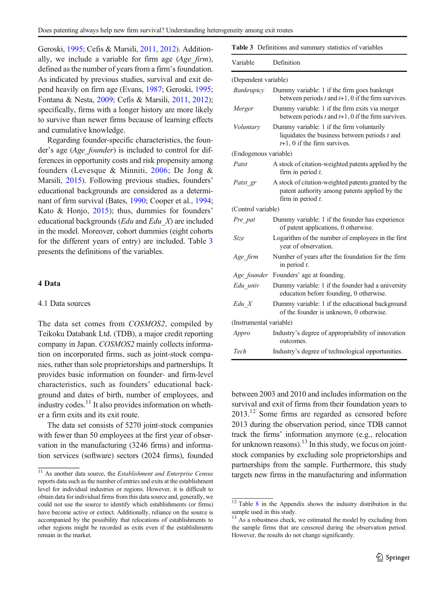Geroski, [1995;](#page-24-0) Cefis & Marsili, [2011](#page-23-0), [2012\)](#page-23-0). Additionally, we include a variable for firm age  $(Age-firm)$ , defined as the number of years from a firm's foundation. As indicated by previous studies, survival and exit depend heavily on firm age (Evans, [1987;](#page-24-0) Geroski, [1995](#page-24-0); Fontana & Nesta, [2009;](#page-24-0) Cefis & Marsili, [2011](#page-23-0), [2012](#page-23-0)); specifically, firms with a longer history are more likely to survive than newer firms because of learning effects and cumulative knowledge.

Regarding founder-specific characteristics, the founder's age (Age\_founder) is included to control for differences in opportunity costs and risk propensity among founders (Levesque & Minniti, [2006;](#page-25-0) De Jong & Marsili, [2015\)](#page-24-0). Following previous studies, founders' educational backgrounds are considered as a determinant of firm survival (Bates, [1990](#page-23-0); Cooper et al., [1994](#page-24-0); Kato & Honjo, [2015](#page-25-0)); thus, dummies for founders' educational backgrounds ( $Edu$  and  $Edu$  X) are included in the model. Moreover, cohort dummies (eight cohorts for the different years of entry) are included. Table 3 presents the definitions of the variables.

## 4 Data

## 4.1 Data sources

The data set comes from COSMOS2, compiled by Teikoku Databank Ltd. (TDB), a major credit reporting company in Japan. COSMOS2 mainly collects information on incorporated firms, such as joint-stock companies, rather than sole proprietorships and partnerships. It provides basic information on founder- and firm-level characteristics, such as founders' educational background and dates of birth, number of employees, and industry codes. $^{11}$  It also provides information on whether a firm exits and its exit route.

The data set consists of 5270 joint-stock companies with fewer than 50 employees at the first year of observation in the manufacturing (3246 firms) and information services (software) sectors (2024 firms), founded

| <b>Table 3</b> Definitions and summary statistics of variables |
|----------------------------------------------------------------|
|                                                                |

| Variable                | Definition                                                                                                                      |
|-------------------------|---------------------------------------------------------------------------------------------------------------------------------|
| (Dependent variable)    |                                                                                                                                 |
| Bankruptcy              | Dummy variable: 1 if the firm goes bankrupt<br>between periods $t$ and $t+1$ , 0 if the firm survives.                          |
| Merger                  | Dummy variable: 1 if the firm exits via merger<br>between periods $t$ and $t+1$ , 0 if the firm survives.                       |
| Voluntary               | Dummy variable: 1 if the firm voluntarily<br>liquidates the business between periods $t$ and<br>$t+1$ , 0 if the firm survives. |
| (Endogenous variable)   |                                                                                                                                 |
| Patst                   | A stock of citation-weighted patents applied by the<br>firm in period $t$ .                                                     |
| Patst gr                | A stock of citation-weighted patents granted by the<br>patent authority among patents applied by the<br>firm in period $t$ .    |
| (Control variable)      |                                                                                                                                 |
| Pre pat                 | Dummy variable: 1 if the founder has experience<br>of patent applications, 0 otherwise.                                         |
| Size                    | Logarithm of the number of employees in the first<br>year of observation.                                                       |
| Age firm                | Number of years after the foundation for the firm<br>in period $t$ .                                                            |
| Age founder             | Founders' age at founding.                                                                                                      |
| Edu univ                | Dummy variable: 1 if the founder had a university<br>education before founding, 0 otherwise.                                    |
| Edu X                   | Dummy variable: 1 if the educational background<br>of the founder is unknown, 0 otherwise.                                      |
| (Instrumental variable) |                                                                                                                                 |
| Appro                   | Industry's degree of appropriability of innovation<br>outcomes.                                                                 |
| Tech                    | Industry's degree of technological opportunities.                                                                               |

between 2003 and 2010 and includes information on the survival and exit of firms from their foundation years to  $2013$ <sup>12</sup> Some firms are regarded as censored before 2013 during the observation period, since TDB cannot track the firms' information anymore (e.g., relocation for unknown reasons).<sup>13</sup> In this study, we focus on jointstock companies by excluding sole proprietorships and partnerships from the sample. Furthermore, this study targets new firms in the manufacturing and information

 $\frac{11}{11}$  As another data source, the *Establishment and Enterprise Census* reports data such as the number of entries and exits at the establishment level for individual industries or regions. However, it is difficult to obtain data for individual firms from this data source and, generally, we could not use the source to identify which establishments (or firms) have become active or extinct. Additionally, reliance on the source is accompanied by the possibility that relocations of establishments to other regions might be recorded as exits even if the establishments remain in the market.

 $12$  Table [8](#page-20-0) in the Appendix shows the industry distribution in the sample used in this study.

<sup>&</sup>lt;sup>13</sup> As a robustness check, we estimated the model by excluding from the sample firms that are censored during the observation period. However, the results do not change significantly.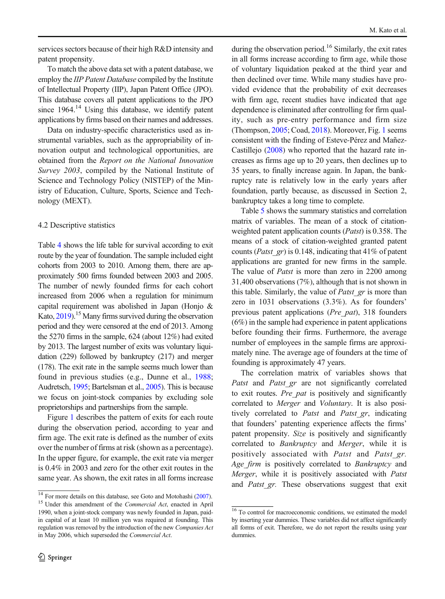services sectors because of their high R&D intensity and patent propensity.

To match the above data set with a patent database, we employ the *IIP Patent Database* compiled by the Institute of Intellectual Property (IIP), Japan Patent Office (JPO). This database covers all patent applications to the JPO since  $1964$ .<sup>14</sup> Using this database, we identify patent applications by firms based on their names and addresses.

Data on industry-specific characteristics used as instrumental variables, such as the appropriability of innovation output and technological opportunities, are obtained from the Report on the National Innovation Survey 2003, compiled by the National Institute of Science and Technology Policy (NISTEP) of the Ministry of Education, Culture, Sports, Science and Technology (MEXT).

#### 4.2 Descriptive statistics

Table [4](#page-12-0) shows the life table for survival according to exit route by the year of foundation. The sample included eight cohorts from 2003 to 2010. Among them, there are approximately 500 firms founded between 2003 and 2005. The number of newly founded firms for each cohort increased from 2006 when a regulation for minimum capital requirement was abolished in Japan (Honjo & Kato, [2019\)](#page-25-0).<sup>15</sup> Many firms survived during the observation period and they were censored at the end of 2013. Among the 5270 firms in the sample, 624 (about 12%) had exited by 2013. The largest number of exits was voluntary liquidation (229) followed by bankruptcy (217) and merger (178). The exit rate in the sample seems much lower than found in previous studies (e.g., Dunne et al., [1988](#page-24-0); Audretsch, [1995](#page-23-0); Bartelsman et al., [2005](#page-23-0)). This is because we focus on joint-stock companies by excluding sole proprietorships and partnerships from the sample.

Figure [1](#page-13-0) describes the pattern of exits for each route during the observation period, according to year and firm age. The exit rate is defined as the number of exits over the number of firms at risk (shown as a percentage). In the upper figure, for example, the exit rate via merger is 0.4% in 2003 and zero for the other exit routes in the same year. As shown, the exit rates in all forms increase during the observation period.<sup>16</sup> Similarly, the exit rates in all forms increase according to firm age, while those of voluntary liquidation peaked at the third year and then declined over time. While many studies have provided evidence that the probability of exit decreases with firm age, recent studies have indicated that age dependence is eliminated after controlling for firm quality, such as pre-entry performance and firm size (Thompson, [2005;](#page-26-0) Coad, [2018\)](#page-23-0). Moreover, Fig. [1](#page-13-0) seems consistent with the finding of Esteve-Pérez and Mañez-Castillejo [\(2008\)](#page-24-0) who reported that the hazard rate increases as firms age up to 20 years, then declines up to 35 years, to finally increase again. In Japan, the bankruptcy rate is relatively low in the early years after foundation, partly because, as discussed in Section 2, bankruptcy takes a long time to complete.

Table [5](#page-14-0) shows the summary statistics and correlation matrix of variables. The mean of a stock of citationweighted patent application counts (Patst) is 0.358. The means of a stock of citation-weighted granted patent counts (*Patst\_gr*) is 0.148, indicating that 41% of patent applications are granted for new firms in the sample. The value of *Patst* is more than zero in 2200 among 31,400 observations (7%), although that is not shown in this table. Similarly, the value of *Patst gr* is more than zero in 1031 observations (3.3%). As for founders' previous patent applications (Pre\_pat), 318 founders (6%) in the sample had experience in patent applications before founding their firms. Furthermore, the average number of employees in the sample firms are approximately nine. The average age of founders at the time of founding is approximately 47 years.

The correlation matrix of variables shows that Patst and Patst gr are not significantly correlated to exit routes. Pre pat is positively and significantly correlated to Merger and Voluntary. It is also positively correlated to *Patst* and *Patst gr*, indicating that founders' patenting experience affects the firms' patent propensity. Size is positively and significantly correlated to Bankruptcy and Merger, while it is positively associated with Patst and Patst gr. Age firm is positively correlated to Bankruptcy and Merger, while it is positively associated with Patst and *Patst gr.* These observations suggest that exit

 $14$  For more details on this database, see Goto and Motohashi [\(2007\)](#page-24-0).<br><sup>15</sup> Under this amendment of the *Commercial Act*, enacted in April 1990, when a joint-stock company was newly founded in Japan, paidin capital of at least 10 million yen was required at founding. This regulation was removed by the introduction of the new Companies Act in May 2006, which superseded the Commercial Act.

<sup>&</sup>lt;sup>16</sup> To control for macroeconomic conditions, we estimated the model by inserting year dummies. These variables did not affect significantly all forms of exit. Therefore, we do not report the results using year dummies.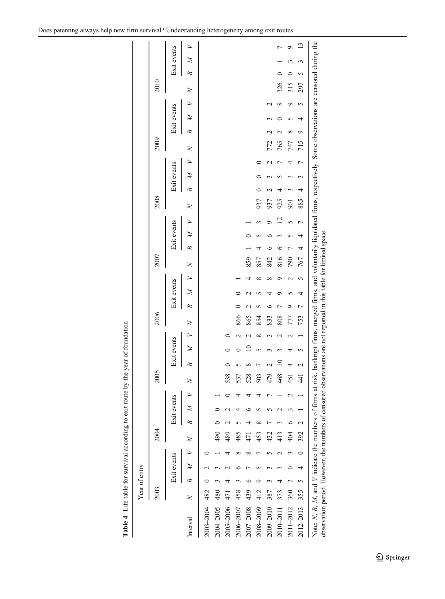<span id="page-12-0"></span>

|           | 2003 |   |              |         | 2004 |   |             |        | 2005           |                 |              |                    | 2006   |   |              |             | 2007 |   |              |                | 2008       |                 |             |                    |   | 2009                    |             |        |   | 2010     |        |             |                 |
|-----------|------|---|--------------|---------|------|---|-------------|--------|----------------|-----------------|--------------|--------------------|--------|---|--------------|-------------|------|---|--------------|----------------|------------|-----------------|-------------|--------------------|---|-------------------------|-------------|--------|---|----------|--------|-------------|-----------------|
|           |      |   | Exit events  |         |      |   | Exit events |        |                |                 | Exit events  |                    |        |   | Exit events  |             |      |   | Exit events  |                |            |                 | Exit events |                    |   |                         | Exit events |        |   |          |        | Exit events |                 |
| Interval  | 2    | B | $\mathbb{Z}$ |         | ≳    | B | Z           | $\geq$ | ≳              | B               | $\cancel{z}$ | $\geq$             | $\geq$ | B | $\cancel{z}$ | $\geq$      | z    | B | $\mathbb{Z}$ | $\geq$         | ≍          | B               | $\mathbb Z$ | $\geq$             | 2 | B                       | Þ           | $\geq$ | 2 |          | Þ<br>B |             |                 |
| 2003-2004 | 482  |   |              |         |      |   |             |        |                |                 |              |                    |        |   |              |             |      |   |              |                |            |                 |             |                    |   |                         |             |        |   |          |        |             |                 |
| 2004-2005 | 480  |   |              |         | 90   |   |             |        |                |                 |              |                    |        |   |              |             |      |   |              |                |            |                 |             |                    |   |                         |             |        |   |          |        |             |                 |
| 2005-2006 | 471  |   |              |         | 489  |   |             |        | 538            |                 |              |                    |        |   |              |             |      |   |              |                |            |                 |             |                    |   |                         |             |        |   |          |        |             |                 |
| 2006-2007 | 458  |   |              | ∞       | 485  |   |             |        | 537            |                 |              | $\scriptstyle\sim$ | 866    |   |              |             |      |   |              |                |            |                 |             |                    |   |                         |             |        |   |          |        |             |                 |
| 2007-2008 | 439  |   |              | ∝       | 471  |   |             |        | 528            | ∝               | $\supseteq$  |                    | 865    |   |              |             | 859  |   |              |                |            |                 |             |                    |   |                         |             |        |   |          |        |             |                 |
| 2008-2009 | 412  |   |              |         | 453  |   |             |        | 503            |                 |              | ∝                  | 854    |   |              | ∞           | 857  | 4 |              |                | 937        | $\circ$         |             |                    |   |                         |             |        |   |          |        |             |                 |
| 2009-2010 | 387  |   |              |         | 432  |   |             |        | 479            |                 |              |                    | 833    | ≎ |              | ∞           | 842  | c |              | Φ              | 937        | $\mathbf{\sim}$ |             | $\scriptstyle\sim$ |   | 772                     |             | $\sim$ |   |          |        |             |                 |
| 2010-2011 | 373  |   |              |         | 413  |   |             |        | 468            | $\overline{10}$ |              |                    | 808    |   |              | ᢦ           | 816  | ∘ |              | $\overline{c}$ | 925        | 4               |             | t                  |   | $\mathrel{\sim}$<br>765 |             | ∞      |   | 326      |        |             |                 |
| 2011-2012 | 360  |   |              |         | 404  |   |             |        | 451            | 4               |              | $\scriptstyle\sim$ | 777    | ᡋ |              | $\mathbf 2$ | 790  |   |              | 5              | <b>901</b> | 3               |             | 4                  |   | ∞<br>747                |             | ۰      |   | 315      |        | σ           |                 |
| 2012-2013 | 355  |   | 4            | $\circ$ | 392  |   |             |        | $\overline{4}$ | $\sim$          | 5            |                    | 753    | Γ | 4            | 5           | 767  | 4 | 4            | Γ              | 885        | 4               | 3           | Γ                  |   | $\circ$<br>715          | 4           | 5      |   | 5<br>297 |        |             | $\overline{13}$ |

Table 4 Life table for survival according to exit route by the year of foundation Table 4 Life table for survival according to exit route by the year of foundation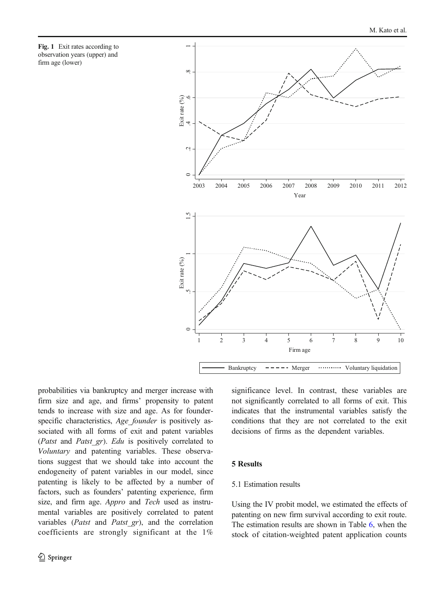<span id="page-13-0"></span>



probabilities via bankruptcy and merger increase with firm size and age, and firms' propensity to patent tends to increase with size and age. As for founderspecific characteristics, Age founder is positively associated with all forms of exit and patent variables (Patst and Patst gr). Edu is positively correlated to Voluntary and patenting variables. These observations suggest that we should take into account the endogeneity of patent variables in our model, since patenting is likely to be affected by a number of factors, such as founders' patenting experience, firm size, and firm age. Appro and Tech used as instrumental variables are positively correlated to patent variables (Patst and Patst gr), and the correlation coefficients are strongly significant at the 1%

significance level. In contrast, these variables are not significantly correlated to all forms of exit. This indicates that the instrumental variables satisfy the conditions that they are not correlated to the exit decisions of firms as the dependent variables.

## 5 Results

# 5.1 Estimation results

Using the IV probit model, we estimated the effects of patenting on new firm survival according to exit route. The estimation results are shown in Table [6,](#page-16-0) when the stock of citation-weighted patent application counts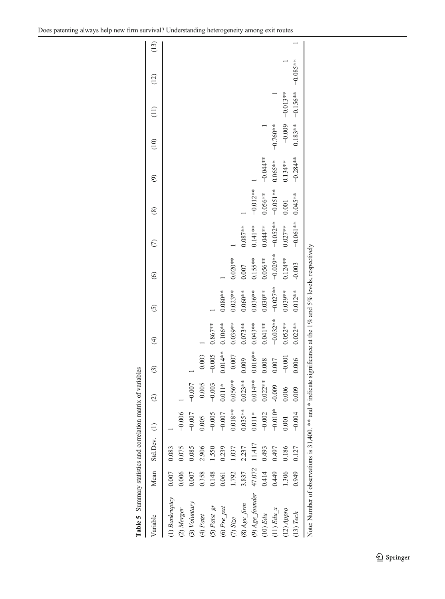<span id="page-14-0"></span>

| Table 5 Summary statistics and correlation matrix of variables                                                          |        |                   |            |               |               |               |               |                   |             |               |                          |               |                   |            |      |
|-------------------------------------------------------------------------------------------------------------------------|--------|-------------------|------------|---------------|---------------|---------------|---------------|-------------------|-------------|---------------|--------------------------|---------------|-------------------|------------|------|
| Variable                                                                                                                |        | Mean Std.Dev. (1) |            | $\widehat{c}$ | $\widehat{c}$ | $\widehat{E}$ | $\widehat{c}$ | $\widehat{\circ}$ | $\odot$     | $\circledast$ | $\widehat{\mathfrak{S}}$ | $\widehat{c}$ | $\left(11\right)$ | (12)       | (13) |
| (1) Bankruptcy                                                                                                          |        | 0.083             |            |               |               |               |               |                   |             |               |                          |               |                   |            |      |
| (2) Merger                                                                                                              | 0.006  | 0.075             | $-0.006$   |               |               |               |               |                   |             |               |                          |               |                   |            |      |
| $(3)$ Voluntary                                                                                                         | 0.007  | 0.085             | $-0.007$   | $-0.007$      |               |               |               |                   |             |               |                          |               |                   |            |      |
| $(4)$ Patst                                                                                                             | 0.358  | 2.906             | 0.005      | $-0.005$      | $-0.003$      |               |               |                   |             |               |                          |               |                   |            |      |
| $(5)$ Patst $gr$                                                                                                        | 0.148  | 1.550             | $-0.005$   | $-0.003$      | $-0.005$      | $0.867***$    |               |                   |             |               |                          |               |                   |            |      |
| $(6) Pre$ pat                                                                                                           | 0.061  | 0.239             | $-0.007$   | $0.011*$      | $0.014***$    | $0.106***$    | $0.080**$     |                   |             |               |                          |               |                   |            |      |
| $(7)$ Size                                                                                                              | 1.792  | 1.037             | $0.018**$  | $0.056***$    | $-0.007$      | $0.039**$     | $0.023**$     | $0.020**$         |             |               |                          |               |                   |            |      |
| $(8)$ Age firm                                                                                                          | 3.837  | 2.237             | $0.035***$ | $0.023**$     | 0.009         | $0.073***$    | $0.060**$     | 0.007             | $0.087***$  |               |                          |               |                   |            |      |
| (9) Age_founder                                                                                                         | 47.072 | 11.417            | $0.011*$   | $0.014***$    | $0.016**$     | $0.043**$     | $0.036***$    | $0.155***$        | $0.141**$   | $-0.012**$    |                          |               |                   |            |      |
| $(10)$ Edu                                                                                                              | 0.414  | 0.493             | $-0.002$   | $0.022**$     | 0.008         | $0.041**$     | $0.030**$     | $0.056***$        | $0.044***$  | $0.056***$    | $-0.044**$               |               |                   |            |      |
| $(11)$ Edu $x$                                                                                                          | 0.449  | 0.497             | $-0.010*$  | $-0.009$      | 0.007         | $-0.032**$    | $-0.027**$    | $-0.029**$        | $-0.052***$ | $-0.051**$    | $0.065***$               | $-0.760**$    |                   |            |      |
| $(12)$ Appro                                                                                                            | 1.306  | 0.186             | 0.001      | 0.006         | $-0.001$      | $0.052**$     | $0.039***$    | $0.124**$         | $0.027***$  | 0.001         | $0.134***$               | $-0.009$      | $-0.013***$       |            |      |
| $(13)$ Tech                                                                                                             | 0.949  | 0.127             | $-0.004$   | 0.009         | 0.006         | $0.022**$     | $0.012***$    | $-0.003$          | $-0.061**$  | $0.045**$     | $-0.284**$               | $0.183**$     | $-0.156**$        | $-0.085**$ |      |
| Note: Number of observations is 31,400. <sup>**</sup> and * indicate significance at the 1% and 5% levels, respectively |        |                   |            |               |               |               |               |                   |             |               |                          |               |                   |            |      |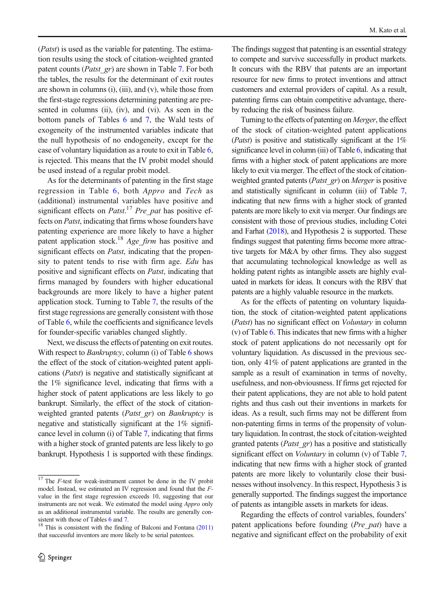(Patst) is used as the variable for patenting. The estimation results using the stock of citation-weighted granted patent counts (*Patst gr*) are shown in Table [7](#page-17-0). For both the tables, the results for the determinant of exit routes are shown in columns (i), (iii), and (v), while those from the first-stage regressions determining patenting are presented in columns (ii), (iv), and (vi). As seen in the bottom panels of Tables [6](#page-16-0) and [7,](#page-17-0) the Wald tests of exogeneity of the instrumented variables indicate that the null hypothesis of no endogeneity, except for the case of voluntary liquidation as a route to exit in Table [6,](#page-16-0) is rejected. This means that the IV probit model should be used instead of a regular probit model.

As for the determinants of patenting in the first stage regression in Table [6](#page-16-0), both Appro and Tech as (additional) instrumental variables have positive and significant effects on *Patst*.<sup>17</sup> Pre\_pat has positive effects on Patst, indicating that firms whose founders have patenting experience are more likely to have a higher patent application stock.<sup>18</sup> Age firm has positive and significant effects on *Patst*, indicating that the propensity to patent tends to rise with firm age. Edu has positive and significant effects on Patst, indicating that firms managed by founders with higher educational backgrounds are more likely to have a higher patent application stock. Turning to Table [7,](#page-17-0) the results of the first stage regressions are generally consistent with those of Table [6](#page-16-0), while the coefficients and significance levels for founder-specific variables changed slightly.

Next, we discuss the effects of patenting on exit routes. With respect to *Bankruptcy*, column (i) of Table [6](#page-16-0) shows the effect of the stock of citation-weighted patent applications (Patst) is negative and statistically significant at the 1% significance level, indicating that firms with a higher stock of patent applications are less likely to go bankrupt. Similarly, the effect of the stock of citationweighted granted patents (*Patst gr*) on *Bankruptcy* is negative and statistically significant at the 1% significance level in column (i) of Table [7](#page-17-0), indicating that firms with a higher stock of granted patents are less likely to go bankrupt. Hypothesis 1 is supported with these findings. The findings suggest that patenting is an essential strategy to compete and survive successfully in product markets. It concurs with the RBV that patents are an important resource for new firms to protect inventions and attract customers and external providers of capital. As a result, patenting firms can obtain competitive advantage, thereby reducing the risk of business failure.

Turning to the effects of patenting on Merger, the effect of the stock of citation-weighted patent applications (*Patst*) is positive and statistically significant at the  $1\%$ significance level in column (iii) of Table [6](#page-16-0), indicating that firms with a higher stock of patent applications are more likely to exit via merger. The effect of the stock of citationweighted granted patents (Patst\_gr) on Merger is positive and statistically significant in column (iii) of Table [7,](#page-17-0) indicating that new firms with a higher stock of granted patents are more likely to exit via merger. Our findings are consistent with those of previous studies, including Cotei and Farhat [\(2018\)](#page-24-0), and Hypothesis 2 is supported. These findings suggest that patenting firms become more attractive targets for M&A by other firms. They also suggest that accumulating technological knowledge as well as holding patent rights as intangible assets are highly evaluated in markets for ideas. It concurs with the RBV that patents are a highly valuable resource in the markets.

As for the effects of patenting on voluntary liquidation, the stock of citation-weighted patent applications (Patst) has no significant effect on Voluntary in column (v) of Table [6](#page-16-0). This indicates that new firms with a higher stock of patent applications do not necessarily opt for voluntary liquidation. As discussed in the previous section, only 41% of patent applications are granted in the sample as a result of examination in terms of novelty, usefulness, and non-obviousness. If firms get rejected for their patent applications, they are not able to hold patent rights and thus cash out their inventions in markets for ideas. As a result, such firms may not be different from non-patenting firms in terms of the propensity of voluntary liquidation. In contrast, the stock of citation-weighted granted patents (*Patst gr*) has a positive and statistically significant effect on *Voluntary* in column (v) of Table [7,](#page-17-0) indicating that new firms with a higher stock of granted patents are more likely to voluntarily close their businesses without insolvency. In this respect, Hypothesis 3 is generally supported. The findings suggest the importance of patents as intangible assets in markets for ideas.

Regarding the effects of control variables, founders' patent applications before founding (*Pre pat*) have a negative and significant effect on the probability of exit

 $17$  The *F*-test for weak-instrument cannot be done in the IV probit model. Instead, we estimated an IV regression and found that the Fvalue in the first stage regression exceeds 10, suggesting that our instruments are not weak. We estimated the model using Appro only as an additional instrumental variable. The results are generally con-<br>sistent with those of Tables 6 and 7.

 $18$  This is consistent with the finding of Balconi and Fontana [\(2011\)](#page-23-0) that successful inventors are more likely to be serial patentees.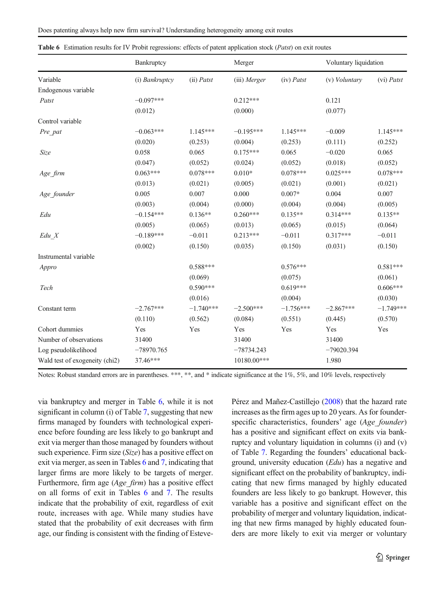|                                | Bankruptcy     |              | Merger       |              | Voluntary liquidation |             |
|--------------------------------|----------------|--------------|--------------|--------------|-----------------------|-------------|
| Variable                       | (i) Bankruptcy | $(ii)$ Patst | (iii) Merger | $(iv)$ Patst | (v) Voluntary         | (vi) Patst  |
| Endogenous variable            |                |              |              |              |                       |             |
| Patst                          | $-0.097***$    |              | $0.212***$   |              | 0.121                 |             |
|                                | (0.012)        |              | (0.000)      |              | (0.077)               |             |
| Control variable               |                |              |              |              |                       |             |
| Pre_pat                        | $-0.063***$    | 1.145***     | $-0.195***$  | $1.145***$   | $-0.009$              | 1.145***    |
|                                | (0.020)        | (0.253)      | (0.004)      | (0.253)      | (0.111)               | (0.252)     |
| Size                           | 0.058          | 0.065        | $0.175***$   | 0.065        | $-0.020$              | 0.065       |
|                                | (0.047)        | (0.052)      | (0.024)      | (0.052)      | (0.018)               | (0.052)     |
| Age firm                       | $0.063***$     | $0.078***$   | $0.010*$     | $0.078***$   | $0.025***$            | $0.078***$  |
|                                | (0.013)        | (0.021)      | (0.005)      | (0.021)      | (0.001)               | (0.021)     |
| Age founder                    | 0.005          | 0.007        | 0.000        | $0.007*$     | 0.004                 | 0.007       |
|                                | (0.003)        | (0.004)      | (0.000)      | (0.004)      | (0.004)               | (0.005)     |
| Edu                            | $-0.154***$    | $0.136**$    | $0.260***$   | $0.135**$    | $0.314***$            | $0.135**$   |
|                                | (0.005)        | (0.065)      | (0.013)      | (0.065)      | (0.015)               | (0.064)     |
| $Edu_X$                        | $-0.189***$    | $-0.011$     | $0.213***$   | $-0.011$     | $0.317***$            | $-0.011$    |
|                                | (0.002)        | (0.150)      | (0.035)      | (0.150)      | (0.031)               | (0.150)     |
| Instrumental variable          |                |              |              |              |                       |             |
| Appro                          |                | $0.588***$   |              | $0.576***$   |                       | $0.581***$  |
|                                |                | (0.069)      |              | (0.075)      |                       | (0.061)     |
| Tech                           |                | $0.590***$   |              | $0.619***$   |                       | $0.606***$  |
|                                |                | (0.016)      |              | (0.004)      |                       | (0.030)     |
| Constant term                  | $-2.767***$    | $-1.740***$  | $-2.500***$  | $-1.756***$  | $-2.867***$           | $-1.749***$ |
|                                | (0.110)        | (0.562)      | (0.084)      | (0.551)      | (0.445)               | (0.570)     |
| Cohort dummies                 | Yes            | Yes          | Yes          | Yes          | Yes                   | Yes         |
| Number of observations         | 31400          |              | 31400        |              | 31400                 |             |
| Log pseudolikelihood           | $-78970.765$   |              | $-78734.243$ |              | $-79020.394$          |             |
| Wald test of exogeneity (chi2) | 37.46***       |              | 10180.00***  |              | 1.980                 |             |

<span id="page-16-0"></span>

|  | Table 6 Estimation results for IV Probit regressions: effects of patent application stock ( <i>Patst</i> ) on exit routes |  |  |  |  |  |  |  |  |
|--|---------------------------------------------------------------------------------------------------------------------------|--|--|--|--|--|--|--|--|
|--|---------------------------------------------------------------------------------------------------------------------------|--|--|--|--|--|--|--|--|

Notes: Robust standard errors are in parentheses. \*\*\*, \*\*, and \* indicate significance at the 1%, 5%, and 10% levels, respectively

via bankruptcy and merger in Table 6, while it is not significant in column (i) of Table [7](#page-17-0), suggesting that new firms managed by founders with technological experience before founding are less likely to go bankrupt and exit via merger than those managed by founders without such experience. Firm size (Size) has a positive effect on exit via merger, as seen in Tables 6 and [7,](#page-17-0) indicating that larger firms are more likely to be targets of merger. Furthermore, firm age (Age\_firm) has a positive effect on all forms of exit in Tables 6 and [7.](#page-17-0) The results indicate that the probability of exit, regardless of exit route, increases with age. While many studies have stated that the probability of exit decreases with firm age, our finding is consistent with the finding of EstevePérez and Mañez-Castillejo [\(2008\)](#page-24-0) that the hazard rate increases as the firm ages up to 20 years. As for founderspecific characteristics, founders' age (Age founder) has a positive and significant effect on exits via bankruptcy and voluntary liquidation in columns (i) and (v) of Table [7](#page-17-0). Regarding the founders' educational background, university education (Edu) has a negative and significant effect on the probability of bankruptcy, indicating that new firms managed by highly educated founders are less likely to go bankrupt. However, this variable has a positive and significant effect on the probability of merger and voluntary liquidation, indicating that new firms managed by highly educated founders are more likely to exit via merger or voluntary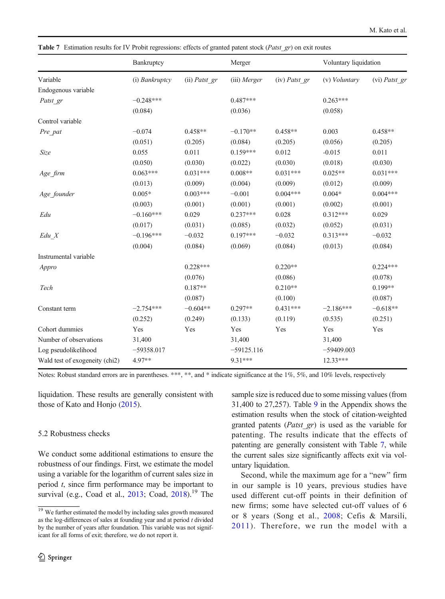<span id="page-17-0"></span>Table 7 Estimation results for IV Probit regressions: effects of granted patent stock (Patst gr) on exit routes

|                                | Bankruptcy     |                 | Merger       |                 | Voluntary liquidation |               |
|--------------------------------|----------------|-----------------|--------------|-----------------|-----------------------|---------------|
| Variable                       | (i) Bankruptcy | $(ii)$ Patst gr | (iii) Merger | $(iv)$ Patst gr | (v) <i>Voluntary</i>  | (vi) Patst_gr |
| Endogenous variable            |                |                 |              |                 |                       |               |
| Patst gr                       | $-0.248***$    |                 | $0.487***$   |                 | $0.263***$            |               |
|                                | (0.084)        |                 | (0.036)      |                 | (0.058)               |               |
| Control variable               |                |                 |              |                 |                       |               |
| Pre_pat                        | $-0.074$       | $0.458**$       | $-0.170**$   | $0.458**$       | 0.003                 | $0.458**$     |
|                                | (0.051)        | (0.205)         | (0.084)      | (0.205)         | (0.056)               | (0.205)       |
| $\it Size$                     | 0.055          | 0.011           | $0.159***$   | 0.012           | $-0.015$              | 0.011         |
|                                | (0.050)        | (0.030)         | (0.022)      | (0.030)         | (0.018)               | (0.030)       |
| Age firm                       | $0.063***$     | $0.031***$      | $0.008**$    | $0.031***$      | $0.025**$             | $0.031***$    |
|                                | (0.013)        | (0.009)         | (0.004)      | (0.009)         | (0.012)               | (0.009)       |
| Age founder                    | $0.005*$       | $0.003***$      | $-0.001$     | $0.004***$      | $0.004*$              | $0.004***$    |
|                                | (0.003)        | (0.001)         | (0.001)      | (0.001)         | (0.002)               | (0.001)       |
| Edu                            | $-0.160***$    | 0.029           | $0.237***$   | 0.028           | $0.312***$            | 0.029         |
|                                | (0.017)        | (0.031)         | (0.085)      | (0.032)         | (0.052)               | (0.031)       |
| Edu X                          | $-0.196***$    | $-0.032$        | $0.197***$   | $-0.032$        | $0.313***$            | $-0.032$      |
|                                | (0.004)        | (0.084)         | (0.069)      | (0.084)         | (0.013)               | (0.084)       |
| Instrumental variable          |                |                 |              |                 |                       |               |
| Appro                          |                | $0.228***$      |              | $0.220**$       |                       | $0.224***$    |
|                                |                | (0.076)         |              | (0.086)         |                       | (0.078)       |
| Tech                           |                | $0.187**$       |              | $0.210**$       |                       | $0.199**$     |
|                                |                | (0.087)         |              | (0.100)         |                       | (0.087)       |
| Constant term                  | $-2.754***$    | $-0.604**$      | $0.297**$    | $0.431***$      | $-2.186***$           | $-0.618**$    |
|                                | (0.252)        | (0.249)         | (0.133)      | (0.119)         | (0.535)               | (0.251)       |
| Cohort dummies                 | Yes            | Yes             | Yes          | Yes             | Yes                   | Yes           |
| Number of observations         | 31,400         |                 | 31,400       |                 | 31,400                |               |
| Log pseudolikelihood           | $-59358.017$   |                 | $-59125.116$ |                 | $-59409.003$          |               |
| Wald test of exogeneity (chi2) | 4.97**         |                 | $9.31***$    |                 | $12.33***$            |               |

Notes: Robust standard errors are in parentheses. \*\*\*, \*\*, and \* indicate significance at the 1%, 5%, and 10% levels, respectively

liquidation. These results are generally consistent with those of Kato and Honjo [\(2015\)](#page-25-0).

## 5.2 Robustness checks

We conduct some additional estimations to ensure the robustness of our findings. First, we estimate the model using a variable for the logarithm of current sales size in period t, since firm performance may be important to survival (e.g., Coad et al., [2013;](#page-23-0) Coad, [2018](#page-23-0)).<sup>19</sup> The

 $\textcircled{2}$  Springer

sample size is reduced due to some missing values (from 31,400 to 27,257). Table [9](#page-20-0) in the Appendix shows the estimation results when the stock of citation-weighted granted patents (*Patst gr*) is used as the variable for patenting. The results indicate that the effects of patenting are generally consistent with Table 7, while the current sales size significantly affects exit via voluntary liquidation.

Second, while the maximum age for a "new" firm in our sample is 10 years, previous studies have used different cut-off points in their definition of new firms; some have selected cut-off values of 6 or 8 years (Song et al., [2008;](#page-26-0) Cefis & Marsili, [2011\)](#page-23-0). Therefore, we run the model with a

<sup>&</sup>lt;sup>19</sup> We further estimated the model by including sales growth measured as the log-differences of sales at founding year and at period  $t$  divided by the number of years after foundation. This variable was not significant for all forms of exit; therefore, we do not report it.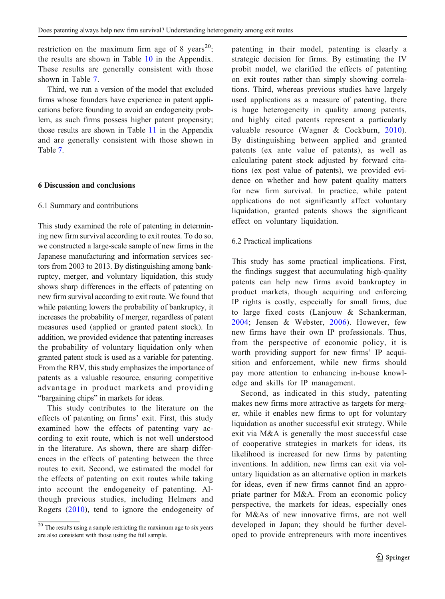restriction on the maximum firm age of 8 years<sup>20</sup>; the results are shown in Table [10](#page-21-0) in the Appendix. These results are generally consistent with those shown in Table [7.](#page-17-0)

Third, we run a version of the model that excluded firms whose founders have experience in patent applications before founding to avoid an endogeneity problem, as such firms possess higher patent propensity; those results are shown in Table [11](#page-22-0) in the Appendix and are generally consistent with those shown in Table [7](#page-17-0).

## 6 Discussion and conclusions

## 6.1 Summary and contributions

This study examined the role of patenting in determining new firm survival according to exit routes. To do so, we constructed a large-scale sample of new firms in the Japanese manufacturing and information services sectors from 2003 to 2013. By distinguishing among bankruptcy, merger, and voluntary liquidation, this study shows sharp differences in the effects of patenting on new firm survival according to exit route. We found that while patenting lowers the probability of bankruptcy, it increases the probability of merger, regardless of patent measures used (applied or granted patent stock). In addition, we provided evidence that patenting increases the probability of voluntary liquidation only when granted patent stock is used as a variable for patenting. From the RBV, this study emphasizes the importance of patents as a valuable resource, ensuring competitive advantage in product markets and providing "bargaining chips" in markets for ideas.

This study contributes to the literature on the effects of patenting on firms' exit. First, this study examined how the effects of patenting vary according to exit route, which is not well understood in the literature. As shown, there are sharp differences in the effects of patenting between the three routes to exit. Second, we estimated the model for the effects of patenting on exit routes while taking into account the endogeneity of patenting. Although previous studies, including Helmers and Rogers ([2010](#page-24-0)), tend to ignore the endogeneity of patenting in their model, patenting is clearly a strategic decision for firms. By estimating the IV probit model, we clarified the effects of patenting on exit routes rather than simply showing correlations. Third, whereas previous studies have largely used applications as a measure of patenting, there is huge heterogeneity in quality among patents, and highly cited patents represent a particularly valuable resource (Wagner & Cockburn, [2010](#page-26-0)). By distinguishing between applied and granted patents (ex ante value of patents), as well as calculating patent stock adjusted by forward citations (ex post value of patents), we provided evidence on whether and how patent quality matters for new firm survival. In practice, while patent applications do not significantly affect voluntary liquidation, granted patents shows the significant effect on voluntary liquidation.

## 6.2 Practical implications

This study has some practical implications. First, the findings suggest that accumulating high-quality patents can help new firms avoid bankruptcy in product markets, though acquiring and enforcing IP rights is costly, especially for small firms, due to large fixed costs (Lanjouw & Schankerman, [2004;](#page-25-0) Jensen & Webster, [2006](#page-25-0)). However, few new firms have their own IP professionals. Thus, from the perspective of economic policy, it is worth providing support for new firms' IP acquisition and enforcement, while new firms should pay more attention to enhancing in-house knowledge and skills for IP management.

Second, as indicated in this study, patenting makes new firms more attractive as targets for merger, while it enables new firms to opt for voluntary liquidation as another successful exit strategy. While exit via M&A is generally the most successful case of cooperative strategies in markets for ideas, its likelihood is increased for new firms by patenting inventions. In addition, new firms can exit via voluntary liquidation as an alternative option in markets for ideas, even if new firms cannot find an appropriate partner for M&A. From an economic policy perspective, the markets for ideas, especially ones for M&As of new innovative firms, are not well developed in Japan; they should be further developed to provide entrepreneurs with more incentives

 $20$  The results using a sample restricting the maximum age to six years are also consistent with those using the full sample.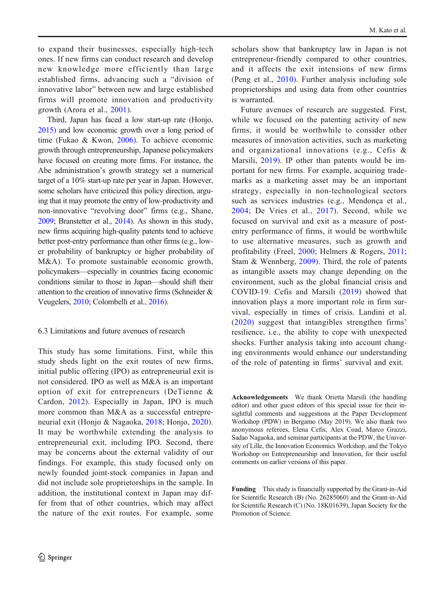to expand their businesses, especially high-tech ones. If new firms can conduct research and develop new knowledge more efficiently than large established firms, advancing such a "division of innovative labor" between new and large established firms will promote innovation and productivity growth (Arora et al., [2001](#page-23-0)).

Third, Japan has faced a low start-up rate (Honjo, [2015\)](#page-25-0) and low economic growth over a long period of time (Fukao & Kwon, [2006](#page-24-0)). To achieve economic growth through entrepreneurship, Japanese policymakers have focused on creating more firms. For instance, the Abe administration's growth strategy set a numerical target of a 10% start-up rate per year in Japan. However, some scholars have criticized this policy direction, arguing that it may promote the entry of low-productivity and non-innovative "revolving door" firms (e.g., Shane, [2009;](#page-26-0) Branstetter et al., [2014](#page-23-0)). As shown in this study, new firms acquiring high-quality patents tend to achieve better post-entry performance than other firms (e.g., lower probability of bankruptcy or higher probability of M&A). To promote sustainable economic growth, policymakers—especially in countries facing economic conditions similar to those in Japan—should shift their attention to the creation of innovative firms (Schneider & Veugelers, [2010](#page-26-0); Colombelli et al., [2016](#page-24-0)).

# 6.3 Limitations and future avenues of research

This study has some limitations. First, while this study sheds light on the exit routes of new firms, initial public offering (IPO) as entrepreneurial exit is not considered. IPO as well as M&A is an important option of exit for entrepreneurs (DeTienne & Cardon, [2012\)](#page-24-0). Especially in Japan, IPO is much more common than M&A as a successful entrepreneurial exit (Honjo & Nagaoka, [2018;](#page-25-0) Honjo, [2020](#page-25-0)). It may be worthwhile extending the analysis to entrepreneurial exit, including IPO. Second, there may be concerns about the external validity of our findings. For example, this study focused only on newly founded joint-stock companies in Japan and did not include sole proprietorships in the sample. In addition, the institutional context in Japan may differ from that of other countries, which may affect the nature of the exit routes. For example, some

scholars show that bankruptcy law in Japan is not entrepreneur-friendly compared to other countries, and it affects the exit intensions of new firms (Peng et al., [2010\)](#page-26-0). Further analysis including sole proprietorships and using data from other countries is warranted.

Future avenues of research are suggested. First, while we focused on the patenting activity of new firms, it would be worthwhile to consider other measures of innovation activities, such as marketing and organizational innovations (e.g., Cefis & Marsili, [2019](#page-23-0)). IP other than patents would be important for new firms. For example, acquiring trademarks as a marketing asset may be an important strategy, especially in non-technological sectors such as services industries (e.g., Mendonça et al., [2004;](#page-25-0) De Vries et al., [2017](#page-24-0)). Second, while we focused on survival and exit as a measure of postentry performance of firms, it would be worthwhile to use alternative measures, such as growth and profitability (Freel, [2000](#page-24-0); Helmers & Rogers, [2011;](#page-24-0) Stam & Wennberg, [2009](#page-26-0)). Third, the role of patents as intangible assets may change depending on the environment, such as the global financial crisis and COVID-19. Cefis and Marsili ([2019](#page-23-0)) showed that innovation plays a more important role in firm survival, especially in times of crisis. Landini et al. [\(2020](#page-25-0)) suggest that intangibles strengthen firms' resilience, i.e., the ability to cope with unexpected shocks. Further analysis taking into account changing environments would enhance our understanding of the role of patenting in firms' survival and exit.

Acknowledgements We thank Orietta Marsili (the handling editor) and other guest editors of this special issue for their insightful comments and suggestions at the Paper Development Workshop (PDW) in Bergamo (May 2019). We also thank two anonymous referees, Elena Cefis, Alex Coad, Marco Grazzi, Sadao Nagaoka, and seminar participants at the PDW, the University of Lille, the Innovation Economics Workshop, and the Tokyo Workshop on Entrepreneurship and Innovation, for their useful comments on earlier versions of this paper.

Funding This study is financially supported by the Grant-in-Aid for Scientific Research (B) (No. 26285060) and the Grant-in-Aid for Scientific Research (C) (No. 18K01639), Japan Society for the Promotion of Science.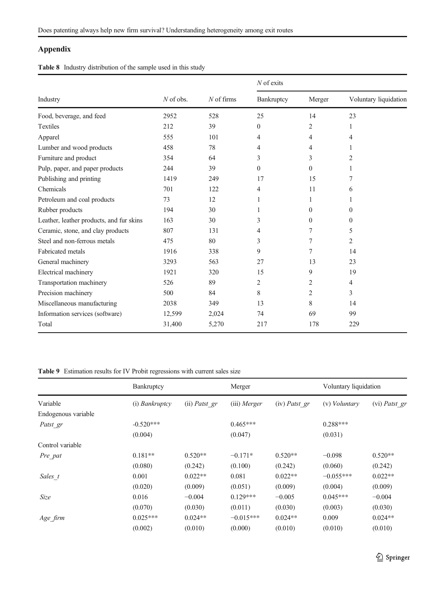# <span id="page-20-0"></span>Appendix

Table 8 Industry distribution of the sample used in this study

|                                          |             |              | $N$ of exits |              |                       |
|------------------------------------------|-------------|--------------|--------------|--------------|-----------------------|
| Industry                                 | $N$ of obs. | $N$ of firms | Bankruptcy   | Merger       | Voluntary liquidation |
| Food, beverage, and feed                 | 2952        | 528          | 25           | 14           | 23                    |
| <b>Textiles</b>                          | 212         | 39           | $\theta$     | 2            | 1                     |
| Apparel                                  | 555         | 101          | 4            | 4            | $\overline{4}$        |
| Lumber and wood products                 | 458         | 78           | 4            | 4            | 1                     |
| Furniture and product                    | 354         | 64           | 3            | 3            | 2                     |
| Pulp, paper, and paper products          | 244         | 39           | $\Omega$     | $\Omega$     | 1                     |
| Publishing and printing                  | 1419        | 249          | 17           | 15           | 7                     |
| Chemicals                                | 701         | 122          | 4            | 11           | 6                     |
| Petroleum and coal products              | 73          | 12           | 1            | $\mathbf{1}$ | 1                     |
| Rubber products                          | 194         | 30           | 1            | $\Omega$     | $\theta$              |
| Leather, leather products, and fur skins | 163         | 30           | 3            | $\mathbf{0}$ | $\mathbf{0}$          |
| Ceramic, stone, and clay products        | 807         | 131          | 4            | 7            | 5                     |
| Steel and non-ferrous metals             | 475         | 80           | 3            | 7            | $\overline{2}$        |
| <b>Fabricated</b> metals                 | 1916        | 338          | 9            | 7            | 14                    |
| General machinery                        | 3293        | 563          | 27           | 13           | 23                    |
| Electrical machinery                     | 1921        | 320          | 15           | 9            | 19                    |
| Transportation machinery                 | 526         | 89           | 2            | 2            | 4                     |
| Precision machinery                      | 500         | 84           | 8            | 2            | 3                     |
| Miscellaneous manufacturing              | 2038        | 349          | 13           | 8            | 14                    |
| Information services (software)          | 12,599      | 2,024        | 74           | 69           | 99                    |
| Total                                    | 31,400      | 5,270        | 217          | 178          | 229                   |

## Table 9 Estimation results for IV Probit regressions with current sales size

|                     | Bankruptcy     |               | Merger       |                 | Voluntary liquidation |               |
|---------------------|----------------|---------------|--------------|-----------------|-----------------------|---------------|
| Variable            | (i) Bankruptcy | (ii) Patst gr | (iii) Merger | $(iv)$ Patst_gr | (v) <i>Voluntary</i>  | (vi) Patst_gr |
| Endogenous variable |                |               |              |                 |                       |               |
| Patst gr            | $-0.520***$    |               | $0.465***$   |                 | $0.288***$            |               |
|                     | (0.004)        |               | (0.047)      |                 | (0.031)               |               |
| Control variable    |                |               |              |                 |                       |               |
| Pre pat             | $0.181**$      | $0.520**$     | $-0.171*$    | $0.520**$       | $-0.098$              | $0.520**$     |
|                     | (0.080)        | (0.242)       | (0.100)      | (0.242)         | (0.060)               | (0.242)       |
| Sales t             | 0.001          | $0.022**$     | 0.081        | $0.022**$       | $-0.055***$           | $0.022**$     |
|                     | (0.020)        | (0.009)       | (0.051)      | (0.009)         | (0.004)               | (0.009)       |
| Size                | 0.016          | $-0.004$      | $0.129***$   | $-0.005$        | $0.045***$            | $-0.004$      |
|                     | (0.070)        | (0.030)       | (0.011)      | (0.030)         | (0.003)               | (0.030)       |
| Age firm            | $0.025***$     | $0.024**$     | $-0.015***$  | $0.024**$       | 0.009                 | $0.024**$     |
|                     | (0.002)        | (0.010)       | (0.000)      | (0.010)         | (0.010)               | (0.010)       |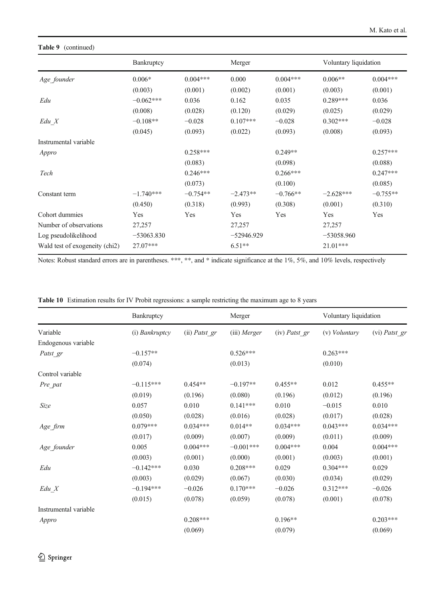# <span id="page-21-0"></span>Table 9 (continued)

|                                | Bankruptcy   |            | Merger       |            | Voluntary liquidation |            |
|--------------------------------|--------------|------------|--------------|------------|-----------------------|------------|
| Age founder                    | $0.006*$     | $0.004***$ | 0.000        | $0.004***$ | $0.006**$             | $0.004***$ |
|                                | (0.003)      | (0.001)    | (0.002)      | (0.001)    | (0.003)               | (0.001)    |
| Edu                            | $-0.062***$  | 0.036      | 0.162        | 0.035      | $0.289***$            | 0.036      |
|                                | (0.008)      | (0.028)    | (0.120)      | (0.029)    | (0.025)               | (0.029)    |
| $Edu_X$                        | $-0.108**$   | $-0.028$   | $0.107***$   | $-0.028$   | $0.302***$            | $-0.028$   |
|                                | (0.045)      | (0.093)    | (0.022)      | (0.093)    | (0.008)               | (0.093)    |
| Instrumental variable          |              |            |              |            |                       |            |
| Appro                          |              | $0.258***$ |              | $0.249**$  |                       | $0.257***$ |
|                                |              | (0.083)    |              | (0.098)    |                       | (0.088)    |
| Tech                           |              | $0.246***$ |              | $0.266***$ |                       | $0.247***$ |
|                                |              | (0.073)    |              | (0.100)    |                       | (0.085)    |
| Constant term                  | $-1.740***$  | $-0.754**$ | $-2.473**$   | $-0.766**$ | $-2.628***$           | $-0.755**$ |
|                                | (0.450)      | (0.318)    | (0.993)      | (0.308)    | (0.001)               | (0.310)    |
| Cohort dummies                 | Yes          | Yes        | Yes          | Yes        | Yes                   | Yes        |
| Number of observations         | 27,257       |            | 27,257       |            | 27,257                |            |
| Log pseudolikelihood           | $-53063.830$ |            | $-52946.929$ |            | $-53058.960$          |            |
| Wald test of exogeneity (chi2) | 27.07***     |            | $6.51**$     |            | 21.01***              |            |

Notes: Robust standard errors are in parentheses. \*\*\*, \*\*, and \* indicate significance at the 1%, 5%, and 10% levels, respectively

|  | Table 10 Estimation results for IV Probit regressions: a sample restricting the maximum age to 8 years |  |  |  |  |  |
|--|--------------------------------------------------------------------------------------------------------|--|--|--|--|--|
|--|--------------------------------------------------------------------------------------------------------|--|--|--|--|--|

| Variable              | Bankruptcy     |               | Merger         |                 | Voluntary liquidation |               |
|-----------------------|----------------|---------------|----------------|-----------------|-----------------------|---------------|
|                       | (i) Bankruptcy | (ii) Patst_gr | $(iii)$ Merger | $(iv)$ Patst gr | (v) <i>Voluntary</i>  | (vi) Patst_gr |
| Endogenous variable   |                |               |                |                 |                       |               |
| Patst gr              | $-0.157**$     |               | $0.526***$     |                 | $0.263***$            |               |
|                       | (0.074)        |               | (0.013)        |                 | (0.010)               |               |
| Control variable      |                |               |                |                 |                       |               |
| Pre_pat               | $-0.115***$    | $0.454**$     | $-0.197**$     | $0.455**$       | 0.012                 | $0.455**$     |
|                       | (0.019)        | (0.196)       | (0.080)        | (0.196)         | (0.012)               | (0.196)       |
| Size                  | 0.057          | 0.010         | $0.141***$     | 0.010           | $-0.015$              | 0.010         |
|                       | (0.050)        | (0.028)       | (0.016)        | (0.028)         | (0.017)               | (0.028)       |
| Age_firm              | $0.079***$     | $0.034***$    | $0.014**$      | $0.034***$      | $0.043***$            | $0.034***$    |
|                       | (0.017)        | (0.009)       | (0.007)        | (0.009)         | (0.011)               | (0.009)       |
| Age_founder           | 0.005          | $0.004***$    | $-0.001***$    | $0.004***$      | 0.004                 | $0.004***$    |
|                       | (0.003)        | (0.001)       | (0.000)        | (0.001)         | (0.003)               | (0.001)       |
| Edu                   | $-0.142***$    | 0.030         | $0.208***$     | 0.029           | $0.304***$            | 0.029         |
|                       | (0.003)        | (0.029)       | (0.067)        | (0.030)         | (0.034)               | (0.029)       |
| $Edu_X$               | $-0.194***$    | $-0.026$      | $0.170***$     | $-0.026$        | $0.312***$            | $-0.026$      |
|                       | (0.015)        | (0.078)       | (0.059)        | (0.078)         | (0.001)               | (0.078)       |
| Instrumental variable |                |               |                |                 |                       |               |
| Appro                 |                | $0.208***$    |                | $0.196**$       |                       | $0.203***$    |
|                       |                | (0.069)       |                | (0.079)         |                       | (0.069)       |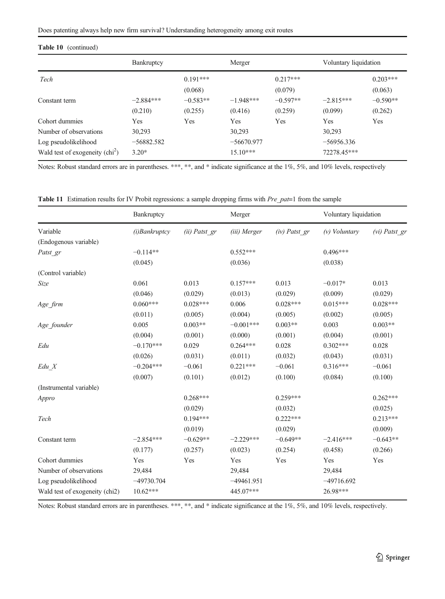# <span id="page-22-0"></span>Table 10 (continued)

|                                                                  | Bankruptcy              |                       | Merger                     |                       | Voluntary liquidation       |                       |
|------------------------------------------------------------------|-------------------------|-----------------------|----------------------------|-----------------------|-----------------------------|-----------------------|
| Tech                                                             |                         | $0.191***$<br>(0.068) |                            | $0.217***$<br>(0.079) |                             | $0.203***$<br>(0.063) |
| Constant term                                                    | $-2.884***$<br>(0.210)  | $-0.583**$<br>(0.255) | $-1.948***$<br>(0.416)     | $-0.597**$<br>(0.259) | $-2.815***$<br>(0.099)      | $-0.590**$<br>(0.262) |
| Cohort dummies<br>Number of observations                         | Yes<br>30,293           | Yes                   | Yes<br>30,293              | Yes                   | Yes<br>30,293               | Yes                   |
| Log pseudolikelihood<br>Wald test of exogeneity $\text{chi}^2$ ) | $-56882.582$<br>$3.20*$ |                       | $-56670.977$<br>$15.10***$ |                       | $-56956.336$<br>72278.45*** |                       |

Notes: Robust standard errors are in parentheses. \*\*\*, \*\*, and \* indicate significance at the 1%, 5%, and 10% levels, respectively

Table 11 Estimation results for IV Probit regressions: a sample dropping firms with Pre\_pat=1 from the sample

|                                | Bankruptcy       |               | Merger       |                 | Voluntary liquidation |                 |
|--------------------------------|------------------|---------------|--------------|-----------------|-----------------------|-----------------|
| Variable                       | $(i)$ Bankruptcy | (ii) Patst gr | (iii) Merger | $(iv)$ Patst gr | $(v)$ Voluntary       | $(vi)$ Patst gr |
| (Endogenous variable)          |                  |               |              |                 |                       |                 |
| Patst gr                       | $-0.114**$       |               | $0.552***$   |                 | $0.496***$            |                 |
|                                | (0.045)          |               | (0.036)      |                 | (0.038)               |                 |
| (Control variable)             |                  |               |              |                 |                       |                 |
| Size                           | 0.061            | 0.013         | $0.157***$   | 0.013           | $-0.017*$             | 0.013           |
|                                | (0.046)          | (0.029)       | (0.013)      | (0.029)         | (0.009)               | (0.029)         |
| Age_firm                       | $0.060***$       | $0.028***$    | 0.006        | $0.028***$      | $0.015***$            | $0.028***$      |
|                                | (0.011)          | (0.005)       | (0.004)      | (0.005)         | (0.002)               | (0.005)         |
| Age_founder                    | 0.005            | $0.003**$     | $-0.001***$  | $0.003**$       | 0.003                 | $0.003**$       |
|                                | (0.004)          | (0.001)       | (0.000)      | (0.001)         | (0.004)               | (0.001)         |
| Edu                            | $-0.170***$      | 0.029         | $0.264***$   | 0.028           | $0.302***$            | 0.028           |
|                                | (0.026)          | (0.031)       | (0.011)      | (0.032)         | (0.043)               | (0.031)         |
| $Edu_X$                        | $-0.204***$      | $-0.061$      | $0.221***$   | $-0.061$        | $0.316***$            | $-0.061$        |
|                                | (0.007)          | (0.101)       | (0.012)      | (0.100)         | (0.084)               | (0.100)         |
| (Instrumental variable)        |                  |               |              |                 |                       |                 |
| Appro                          |                  | $0.268***$    |              | $0.259***$      |                       | $0.262***$      |
|                                |                  | (0.029)       |              | (0.032)         |                       | (0.025)         |
| Tech                           |                  | $0.194***$    |              | $0.222***$      |                       | $0.213***$      |
|                                |                  | (0.019)       |              | (0.029)         |                       | (0.009)         |
| Constant term                  | $-2.854***$      | $-0.629**$    | $-2.229***$  | $-0.649**$      | $-2.416***$           | $-0.643**$      |
|                                | (0.177)          | (0.257)       | (0.023)      | (0.254)         | (0.458)               | (0.266)         |
| Cohort dummies                 | Yes              | Yes           | Yes          | Yes             | Yes                   | Yes             |
| Number of observations         | 29,484           |               | 29,484       |                 | 29,484                |                 |
| Log pseudolikelihood           | $-49730.704$     |               | $-49461.951$ |                 | $-49716.692$          |                 |
| Wald test of exogeneity (chi2) | $10.62***$       |               | 445.07***    |                 | 26.98***              |                 |

Notes: Robust standard errors are in parentheses. \*\*\*, \*\*, and \* indicate significance at the 1%, 5%, and 10% levels, respectively.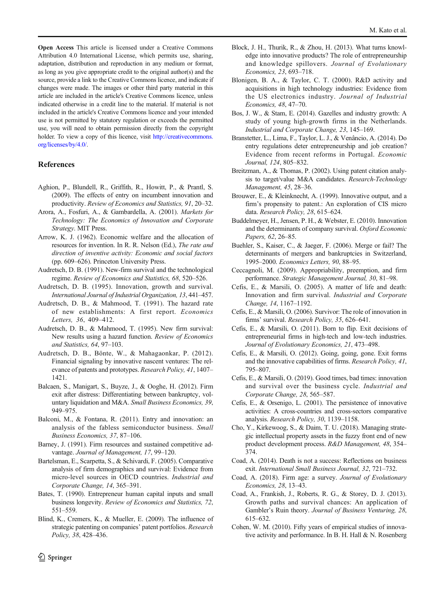<span id="page-23-0"></span>Open Access This article is licensed under a Creative Commons Attribution 4.0 International License, which permits use, sharing, adaptation, distribution and reproduction in any medium or format, as long as you give appropriate credit to the original author(s) and the source, provide a link to the Creative Commons licence, and indicate if changes were made. The images or other third party material in this article are included in the article's Creative Commons licence, unless indicated otherwise in a credit line to the material. If material is not included in the article's Creative Commons licence and your intended use is not permitted by statutory regulation or exceeds the permitted use, you will need to obtain permission directly from the copyright holder. To view a copy of this licence, visit [http://creativecommons.](http://creativecommons.org/licenses/by/4.0/) [org/licenses/by/4.0/.](http://creativecommons.org/licenses/by/4.0/)

#### References

- Aghion, P., Blundell, R., Griffith, R., Howitt, P., & Prantl, S. (2009). The effects of entry on incumbent innovation and productivity. Review of Economics and Statistics, 91, 20–32.
- Arora, A., Fosfuri, A., & Gambardella, A. (2001). Markets for Technology: The Economics of Innovation and Corporate Strategy. MIT Press.
- Arrow, K. J. (1962). Economic welfare and the allocation of resources for invention. In R. R. Nelson (Ed.), The rate and direction of inventive activity: Economic and social factors (pp. 609–626). Princeton University Press.
- Audretsch, D. B. (1991). New-firm survival and the technological regime. Review of Economics and Statistics, 68, 520–526.
- Audretsch, D. B. (1995). Innovation, growth and survival. International Journal of Industrial Organization, 13, 441–457.
- Audretsch, D. B., & Mahmood, T. (1991). The hazard rate of new establishments: A first report. Economics Letters, 36, 409–412.
- Audretsch, D. B., & Mahmood, T. (1995). New firm survival: New results using a hazard function. Review of Economics and Statistics, 64, 97–103.
- Audretsch, D. B., Bönte, W., & Mahagaonkar, P. (2012). Financial signaling by innovative nascent ventures: The relevance of patents and prototypes. Research Policy, 41, 1407– 1421.
- Balcaen, S., Manigart, S., Buyze, J., & Ooghe, H. (2012). Firm exit after distress: Differentiating between bankruptcy, voluntary liquidation and M&A. Small Business Economics, 39, 949–975.
- Balconi, M., & Fontana, R. (2011). Entry and innovation: an analysis of the fabless semiconductor business. Small Business Economics, 37, 87–106.
- Barney, J. (1991). Firm resources and sustained competitive advantage. Journal of Management, 17, 99–120.
- Bartelsman, E., Scarpetta, S., & Schivardi, F. (2005). Comparative analysis of firm demographics and survival: Evidence from micro-level sources in OECD countries. Industrial and Corporate Change, 14, 365–391.
- Bates, T. (1990). Entrepreneur human capital inputs and small business longevity. Review of Economics and Statistics, 72, 551–559.
- Blind, K., Cremers, K., & Mueller, E. (2009). The influence of strategic patenting on companies' patent portfolios. Research Policy, 38, 428–436.
- Block, J. H., Thurik, R., & Zhou, H. (2013). What turns knowledge into innovative products? The role of entrepreneurship and knowledge spillovers. Journal of Evolutionary Economics, 23, 693–718.
- Blonigen, B. A., & Taylor, C. T. (2000). R&D activity and acquisitions in high technology industries: Evidence from the US electronics industry. Journal of Industrial Economics, 48, 47–70.
- Bos, J. W., & Stam, E. (2014). Gazelles and industry growth: A study of young high-growth firms in the Netherlands. Industrial and Corporate Change, 23, 145–169.
- Branstetter, L., Lima, F., Taylor, L. J., & Venâncio, A. (2014). Do entry regulations deter entrepreneurship and job creation? Evidence from recent reforms in Portugal. Economic Journal, 124, 805–832.
- Breitzman, A., & Thomas, P. (2002). Using patent citation analysis to target/value M&A candidates. Research-Technology Management, 45, 28–36.
- Brouwer, E., & Kleinknecht, A. (1999). Innovative output, and a firm's propensity to patent.: An exploration of CIS micro data. Research Policy, 28, 615–624.
- Buddelmeyer, H., Jensen, P. H., & Webster, E. (2010). Innovation and the determinants of company survival. Oxford Economic Papers, 62, 26–85.
- Buehler, S., Kaiser, C., & Jaeger, F. (2006). Merge or fail? The determinants of mergers and bankruptcies in Switzerland, 1995–2000. Economics Letters, 90, 88–95.
- Ceccagnoli, M. (2009). Appropriability, preemption, and firm performance. Strategic Management Journal, 30, 81–98.
- Cefis, E., & Marsili, O. (2005). A matter of life and death: Innovation and firm survival. Industrial and Corporate Change, 14, 1167–1192.
- Cefis, E., & Marsili, O. (2006). Survivor: The role of innovation in firms' survival. Research Policy, 35, 626–641.
- Cefis, E., & Marsili, O. (2011). Born to flip. Exit decisions of entrepreneurial firms in high-tech and low-tech industries. Journal of Evolutionary Economics, 21, 473–498.
- Cefis, E., & Marsili, O. (2012). Going, going, gone. Exit forms and the innovative capabilities of firms. Research Policy, 41, 795–807.
- Cefis, E., & Marsili, O. (2019). Good times, bad times: innovation and survival over the business cycle. Industrial and Corporate Change, 28, 565–587.
- Cefis, E., & Orsenigo, L. (2001). The persistence of innovative activities: A cross-countries and cross-sectors comparative analysis. Research Policy, 30, 1139–1158.
- Cho, Y., Kirkewoog, S., & Daim, T. U. (2018). Managing strategic intellectual property assets in the fuzzy front end of new product development process. R&D Management, 48, 354– 374.
- Coad, A. (2014). Death is not a success: Reflections on business exit. International Small Business Journal, 32, 721–732.
- Coad, A. (2018). Firm age: a survey. Journal of Evolutionary Economics, 28, 13–43.
- Coad, A., Frankish, J., Roberts, R. G., & Storey, D. J. (2013). Growth paths and survival chances: An application of Gambler's Ruin theory. Journal of Business Venturing, 28, 615–632.
- Cohen, W. M. (2010). Fifty years of empirical studies of innovative activity and performance. In B. H. Hall & N. Rosenberg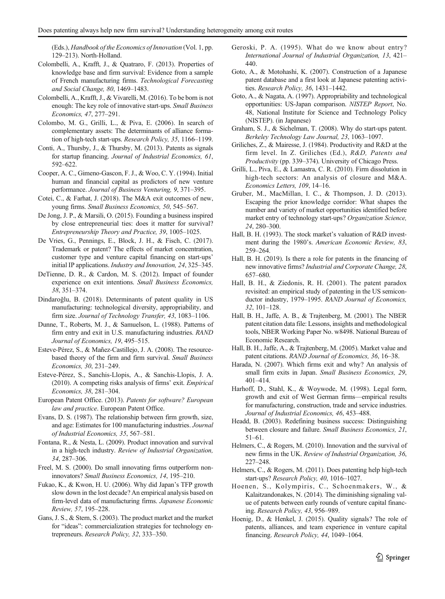<span id="page-24-0"></span>(Eds.), Handbook of the Economics of Innovation (Vol. 1, pp. 129–213). North-Holland.

- Colombelli, A., Krafft, J., & Quatraro, F. (2013). Properties of knowledge base and firm survival: Evidence from a sample of French manufacturing firms. Technological Forecasting and Social Change, 80, 1469–1483.
- Colombelli, A., Krafft, J., & Vivarelli, M. (2016). To be born is not enough: The key role of innovative start-ups. Small Business Economics, 47, 277–291.
- Colombo, M. G., Grilli, L., & Piva, E. (2006). In search of complementary assets: The determinants of alliance formation of high-tech start-ups. Research Policy, 35, 1166–1199.
- Conti, A., Thursby, J., & Thursby, M. (2013). Patents as signals for startup financing. Journal of Industrial Economics, 61, 592–622.
- Cooper, A. C., Gimeno-Gascon, F. J., & Woo, C. Y. (1994). Initial human and financial capital as predictors of new venture performance. Journal of Business Venturing, 9, 371–395.
- Cotei, C., & Farhat, J. (2018). The M&A exit outcomes of new, young firms. Small Business Economics, 50, 545–567.
- De Jong, J. P., & Marsili, O. (2015). Founding a business inspired by close entrepreneurial ties: does it matter for survival? Entrepreneurship Theory and Practice, 39, 1005–1025.
- De Vries, G., Pennings, E., Block, J. H., & Fisch, C. (2017). Trademark or patent? The effects of market concentration, customer type and venture capital financing on start-ups' initial IP applications. Industry and Innovation, 24, 325–345.
- DeTienne, D. R., & Cardon, M. S. (2012). Impact of founder experience on exit intentions. Small Business Economics, 38, 351–374.
- Dindaroğlu, B. (2018). Determinants of patent quality in US manufacturing: technological diversity, appropriability, and firm size. Journal of Technology Transfer, 43, 1083–1106.
- Dunne, T., Roberts, M. J., & Samuelson, L. (1988). Patterns of firm entry and exit in U.S. manufacturing industries. RAND Journal of Economics, 19, 495–515.
- Esteve-Pérez, S., & Mañez-Castillejo, J. A. (2008). The resourcebased theory of the firm and firm survival. Small Business Economics, 30, 231–249.
- Esteve-Pérez, S., Sanchis-Llopis, A., & Sanchis-Llopis, J. A. (2010). A competing risks analysis of firms' exit. Empirical Economics, 38, 281–304.
- European Patent Office. (2013). Patents for software? European law and practice. European Patent Office.
- Evans, D. S. (1987). The relationship between firm growth, size, and age: Estimates for 100 manufacturing industries. Journal of Industrial Economics, 35, 567–581.
- Fontana, R., & Nesta, L. (2009). Product innovation and survival in a high-tech industry. Review of Industrial Organization, 34, 287–306.
- Freel, M. S. (2000). Do small innovating firms outperform noninnovators? Small Business Economics, 14, 195–210.
- Fukao, K., & Kwon, H. U. (2006). Why did Japan's TFP growth slow down in the lost decade? An empirical analysis based on firm-level data of manufacturing firms. Japanese Economic Review, 57, 195–228.
- Gans, J. S., & Stern, S. (2003). The product market and the market for "ideas": commercialization strategies for technology entrepreneurs. Research Policy, 32, 333–350.
- Geroski, P. A. (1995). What do we know about entry? International Journal of Industrial Organization, 13, 421– 440.
- Goto, A., & Motohashi, K. (2007). Construction of a Japanese patent database and a first look at Japanese patenting activities. Research Policy, 36, 1431–1442.
- Goto, A., & Nagata, A. (1997). Appropriability and technological opportunities: US-Japan comparison. NISTEP Report, No. 48, National Institute for Science and Technology Policy (NISTEP). (in Japanese)
- Graham, S. J., & Sichelman, T. (2008). Why do start-ups patent. Berkeley Technology Law Journal, 23, 1063–1097.
- Griliches, Z., & Mairesse, J. (1984). Productivity and R&D at the firm level. In Z. Griliches (Ed.), R&D, Patents and Productivity (pp. 339–374). University of Chicago Press.
- Grilli, L., Piva, E., & Lamastra, C. R. (2010). Firm dissolution in high-tech sectors: An analysis of closure and M&A. Economics Letters, 109, 14–16.
- Gruber, M., MacMillan, I. C., & Thompson, J. D. (2013). Escaping the prior knowledge corridor: What shapes the number and variety of market opportunities identified before market entry of technology start-ups? Organization Science, 24, 280–300.
- Hall, B. H. (1993). The stock market's valuation of R&D investment during the 1980's. American Economic Review, 83, 259–264.
- Hall, B. H. (2019). Is there a role for patents in the financing of new innovative firms? Industrial and Corporate Change, 28, 657–680.
- Hall, B. H., & Ziedonis, R. H. (2001). The patent paradox revisited: an empirical study of patenting in the US semiconductor industry, 1979–1995. RAND Journal of Economics, 32, 101–128.
- Hall, B. H., Jaffe, A. B., & Trajtenberg, M. (2001). The NBER patent citation data file: Lessons, insights and methodological tools, NBER Working Paper No. w8498. National Bureau of Economic Research.
- Hall, B. H., Jaffe, A., & Trajtenberg, M. (2005). Market value and patent citations. RAND Journal of Economics, 36, 16–38.
- Harada, N. (2007). Which firms exit and why? An analysis of small firm exits in Japan. Small Business Economics, 29, 401–414.
- Harhoff, D., Stahl, K., & Woywode, M. (1998). Legal form, growth and exit of West German firms—empirical results for manufacturing, construction, trade and service industries. Journal of Industrial Economics, 46, 453–488.
- Headd, B. (2003). Redefining business success: Distinguishing between closure and failure. Small Business Economics, 21, 51–61.
- Helmers, C., & Rogers, M. (2010). Innovation and the survival of new firms in the UK. Review of Industrial Organization, 36, 227–248.
- Helmers, C., & Rogers, M. (2011). Does patenting help high-tech start-ups? Research Policy, 40, 1016–1027.
- Hoenen, S., Kolympiris, C., Schoenmakers, W., & Kalaitzandonakes, N. (2014). The diminishing signaling value of patents between early rounds of venture capital financing. Research Policy, 43, 956–989.
- Hoenig, D., & Henkel, J. (2015). Quality signals? The role of patents, alliances, and team experience in venture capital financing. Research Policy, 44, 1049–1064.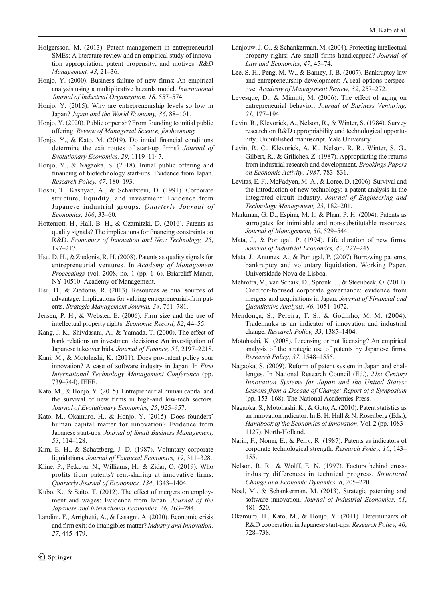- <span id="page-25-0"></span>Holgersson, M. (2013). Patent management in entrepreneurial SMEs: A literature review and an empirical study of innovation appropriation, patent propensity, and motives. R&D Management, 43, 21–36.
- Honjo, Y. (2000). Business failure of new firms: An empirical analysis using a multiplicative hazards model. International Journal of Industrial Organization, 18, 557–574.
- Honjo, Y. (2015). Why are entrepreneurship levels so low in Japan? Japan and the World Economy, 36, 88–101.
- Honjo, Y. (2020). Public or perish? From founding to initial public offering. Review of Managerial Science, forthcoming.
- Honjo, Y., & Kato, M. (2019). Do initial financial conditions determine the exit routes of start-up firms? Journal of Evolutionary Economics, 29, 1119–1147.
- Honjo, Y., & Nagaoka, S. (2018). Initial public offering and financing of biotechnology start-ups: Evidence from Japan. Research Policy, 47, 180–193.
- Hoshi, T., Kashyap, A., & Scharfstein, D. (1991). Corporate structure, liquidity, and investment: Evidence from Japanese industrial groups. Quarterly Journal of Economics, 106, 33–60.
- Hottenrott, H., Hall, B. H., & Czarnitzki, D. (2016). Patents as quality signals? The implications for financing constraints on R&D. Economics of Innovation and New Technology, 25, 197–217.
- Hsu, D. H., & Ziedonis, R. H. (2008). Patents as quality signals for entrepreneurial ventures. In Academy of Management Proceedings (vol. 2008, no. 1 (pp. 1–6). Briarcliff Manor, NY 10510: Academy of Management.
- Hsu, D., & Ziedonis, R. (2013). Resources as dual sources of advantage: Implications for valuing entrepreneurial-firm patents. Strategic Management Journal, 34, 761–781.
- Jensen, P. H., & Webster, E. (2006). Firm size and the use of intellectual property rights. Economic Record, 82, 44–55.
- Kang, J. K., Shivdasani, A., & Yamada, T. (2000). The effect of bank relations on investment decisions: An investigation of Japanese takeover bids. Journal of Finance, 55, 2197–2218.
- Kani, M., & Motohashi, K. (2011). Does pro-patent policy spur innovation? A case of software industry in Japan. In First International Technology Management Conference (pp. 739–744). IEEE.
- Kato, M., & Honjo, Y. (2015). Entrepreneurial human capital and the survival of new firms in high-and low-tech sectors. Journal of Evolutionary Economics, 25, 925–957.
- Kato, M., Okamuro, H., & Honjo, Y. (2015). Does founders' human capital matter for innovation? Evidence from Japanese start-ups. Journal of Small Business Management, 53, 114–128.
- Kim, E. H., & Schatzberg, J. D. (1987). Voluntary corporate liquidations. Journal of Financial Economics, 19, 311–328.
- Kline, P., Petkova, N., Williams, H., & Zidar, O. (2019). Who profits from patents? rent-sharing at innovative firms. Quarterly Journal of Economics, 134, 1343–1404.
- Kubo, K., & Saito, T. (2012). The effect of mergers on employment and wages: Evidence from Japan. Journal of the Japanese and International Economies, 26, 263–284.
- Landini, F., Arrighetti, A., & Lasagni, A. (2020). Economic crisis and firm exit: do intangibles matter? Industry and Innovation, 27, 445–479.
- Lanjouw, J. O., & Schankerman, M. (2004). Protecting intellectual property rights: Are small firms handicapped? Journal of Law and Economics, 47, 45–74.
- Lee, S. H., Peng, M. W., & Barney, J. B. (2007). Bankruptcy law and entrepreneurship development: A real options perspective. Academy of Management Review, 32, 257–272.
- Levesque, D., & Minniti, M. (2006). The effect of aging on entrepreneurial behavior. Journal of Business Venturing, 21, 177–194.
- Levin, R., Klevorick, A., Nelson, R., & Winter, S. (1984). Survey research on R&D appropriability and technological opportunity. Unpublished manuscript. Yale University.
- Levin, R. C., Klevorick, A. K., Nelson, R. R., Winter, S. G., Gilbert, R., & Griliches, Z. (1987). Appropriating the returns from industrial research and development. Brookings Papers on Economic Activity, 1987, 783–831.
- Levitas, E. F., McFadyen, M. A., & Loree, D. (2006). Survival and the introduction of new technology: a patent analysis in the integrated circuit industry. Journal of Engineering and Technology Management, 23, 182–201.
- Markman, G. D., Espina, M. I., & Phan, P. H. (2004). Patents as surrogates for inimitable and non-substitutable resources. Journal of Management, 30, 529–544.
- Mata, J., & Portugal, P. (1994). Life duration of new firms. Journal of Industrial Economics, 42, 227–245.
- Mata, J., Antunes, A., & Portugal, P. (2007) Borrowing patterns, bankruptcy and voluntary liquidation. Working Paper, Universidade Nova de Lisboa.
- Mehrotra, V., van Schaik, D., Spronk, J., & Steenbeek, O. (2011). Creditor-focused corporate governance: evidence from mergers and acquisitions in Japan. Journal of Financial and Quantitative Analysis, 46, 1051–1072.
- Mendonça, S., Pereira, T. S., & Godinho, M. M. (2004). Trademarks as an indicator of innovation and industrial change. Research Policy, 33, 1385–1404.
- Motohashi, K. (2008). Licensing or not licensing? An empirical analysis of the strategic use of patents by Japanese firms. Research Policy, 37, 1548–1555.
- Nagaoka, S. (2009). Reform of patent system in Japan and challenges. In National Research Council (Ed.), 21st Century Innovation Systems for Japan and the United States: Lessons from a Decade of Change: Report of a Symposium (pp. 153–168). The National Academies Press.
- Nagaoka, S., Motohashi, K., & Goto, A. (2010). Patent statistics as an innovation indicator. In B. H. Hall & N. Rosenberg (Eds.), Handbook of the Economics of Innovation. Vol. 2 (pp. 1083– 1127). North-Holland.
- Narin, F., Noma, E., & Perry, R. (1987). Patents as indicators of corporate technological strength. Research Policy, 16, 143– 155.
- Nelson, R. R., & Wolff, E. N. (1997). Factors behind crossindustry differences in technical progress. Structural Change and Economic Dynamics, 8, 205–220.
- Noel, M., & Schankerman, M. (2013). Strategic patenting and software innovation. Journal of Industrial Economics, 61, 481–520.
- Okamuro, H., Kato, M., & Honjo, Y. (2011). Determinants of R&D cooperation in Japanese start-ups. Research Policy, 40, 728–738.